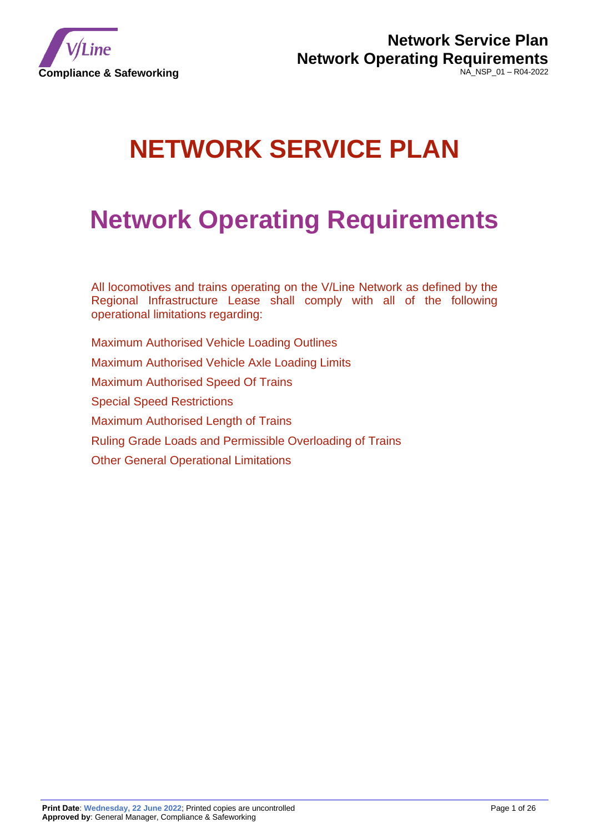

# **NETWORK SERVICE PLAN**

# **Network Operating Requirements**

All locomotives and trains operating on the V/Line Network as defined by the Regional Infrastructure Lease shall comply with all of the following operational limitations regarding:

Maximum Authorised Vehicle Loading Outlines Maximum Authorised Vehicle Axle Loading Limits Maximum Authorised Speed Of Trains Special Speed Restrictions Maximum Authorised Length of Trains Ruling Grade Loads and Permissible Overloading of Trains Other General Operational Limitations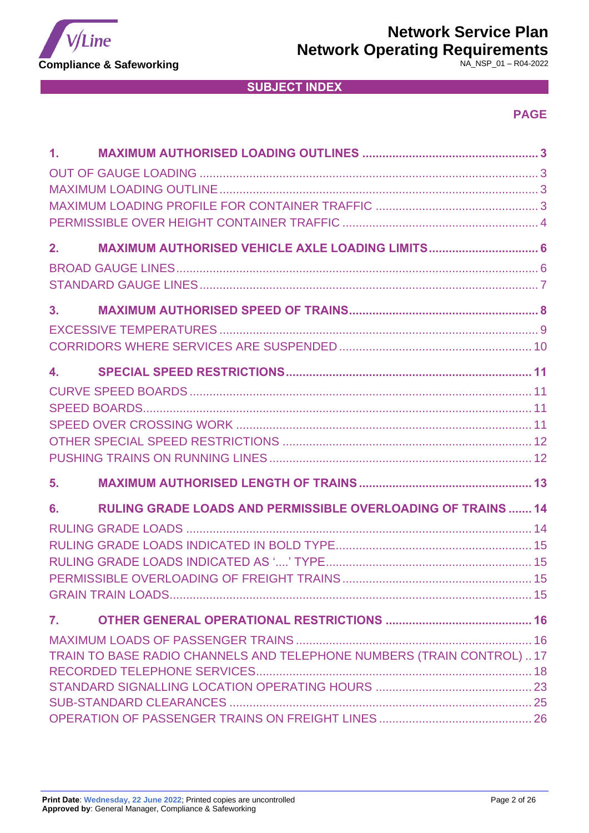

# **Network Service Plan**

**Network Operating Requirements**

NA\_NSP\_01 – R04-2022

# **SUBJECT INDEX**

# **PAGE**

| $\mathbf{1}$ .                                                               |
|------------------------------------------------------------------------------|
| MAXIMUM AUTHORISED VEHICLE AXLE LOADING LIMITS 6<br>2.                       |
| 3.                                                                           |
| $\overline{4}$ , $\overline{4}$                                              |
| 5.                                                                           |
| <b>RULING GRADE LOADS AND PERMISSIBLE OVERLOADING OF TRAINS  14</b><br>6.    |
| 7.<br>TRAIN TO BASE RADIO CHANNELS AND TELEPHONE NUMBERS (TRAIN CONTROL)  17 |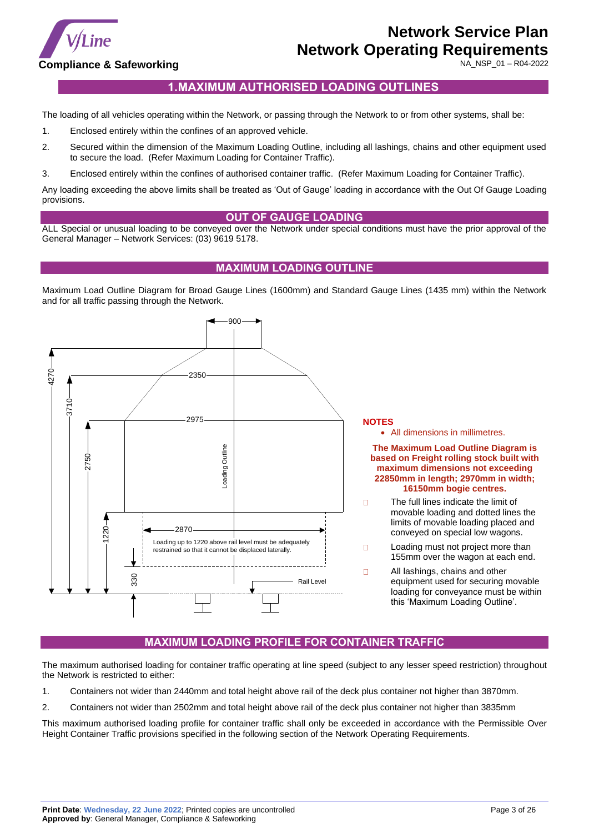

NA\_NSP\_01 – R04-2022

# **1.MAXIMUM AUTHORISED LOADING OUTLINES**

<span id="page-2-0"></span>The loading of all vehicles operating within the Network, or passing through the Network to or from other systems, shall be:

- 1. Enclosed entirely within the confines of an approved vehicle.
- 2. Secured within the dimension of the Maximum Loading Outline, including all lashings, chains and other equipment used to secure the load. (Refer Maximum Loading for Container Traffic).
- 3. Enclosed entirely within the confines of authorised container traffic. (Refer Maximum Loading for Container Traffic).

Any loading exceeding the above limits shall be treated as 'Out of Gauge' loading in accordance with the Out Of Gauge Loading provisions.

#### **OUT OF GAUGE LOADING**

<span id="page-2-1"></span>ALL Special or unusual loading to be conveyed over the Network under special conditions must have the prior approval of the General Manager – Network Services: (03) 9619 5178.

### **MAXIMUM LOADING OUTLINE**

<span id="page-2-2"></span>Maximum Load Outline Diagram for Broad Gauge Lines (1600mm) and Standard Gauge Lines (1435 mm) within the Network and for all traffic passing through the Network.



# **MAXIMUM LOADING PROFILE FOR CONTAINER TRAFFIC**

<span id="page-2-3"></span>The maximum authorised loading for container traffic operating at line speed (subject to any lesser speed restriction) throughout the Network is restricted to either:

- 1. Containers not wider than 2440mm and total height above rail of the deck plus container not higher than 3870mm.
- 2. Containers not wider than 2502mm and total height above rail of the deck plus container not higher than 3835mm

This maximum authorised loading profile for container traffic shall only be exceeded in accordance with the Permissible Over Height Container Traffic provisions specified in the following section of the Network Operating Requirements.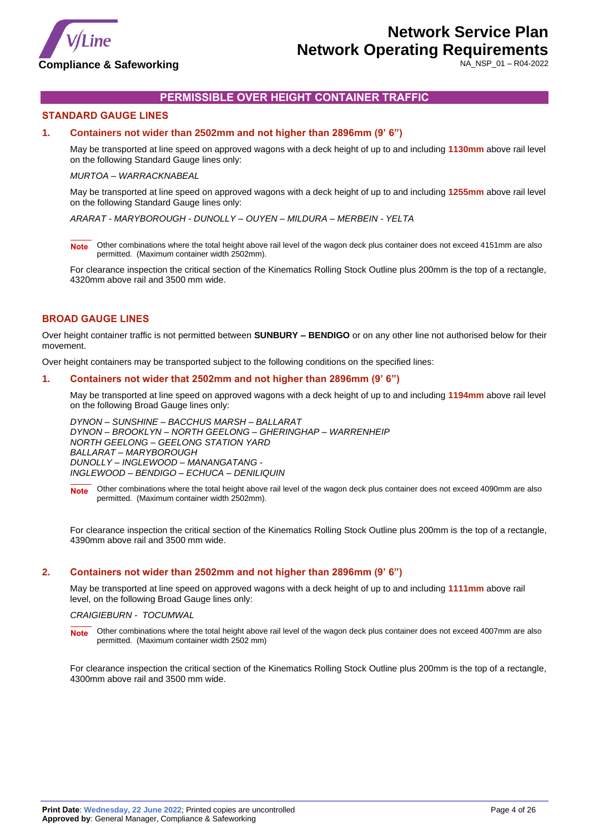

NA\_NSP\_01 – R04-2022

## **PERMISSIBLE OVER HEIGHT CONTAINER TRAFFIC**

### <span id="page-3-0"></span>**STANDARD GAUGE LINES**

#### **1. Containers not wider than 2502mm and not higher than 2896mm (9' 6")**

May be transported at line speed on approved wagons with a deck height of up to and including **1130mm** above rail level on the following Standard Gauge lines only:

#### *MURTOA – WARRACKNABEAL*

May be transported at line speed on approved wagons with a deck height of up to and including **1255mm** above rail level on the following Standard Gauge lines only:

*ARARAT - MARYBOROUGH - DUNOLLY – OUYEN – MILDURA – MERBEIN - YELTA*

**Note** Other combinations where the total height above rail level of the wagon deck plus container does not exceed 4151mm are also permitted. (Maximum container width 2502mm).

For clearance inspection the critical section of the Kinematics Rolling Stock Outline plus 200mm is the top of a rectangle, 4320mm above rail and 3500 mm wide.

### **BROAD GAUGE LINES**

Over height container traffic is not permitted between **SUNBURY – BENDIGO** or on any other line not authorised below for their movement.

Over height containers may be transported subject to the following conditions on the specified lines:

#### **1. Containers not wider that 2502mm and not higher than 2896mm (9' 6")**

May be transported at line speed on approved wagons with a deck height of up to and including **1194mm** above rail level on the following Broad Gauge lines only:

*DYNON – SUNSHINE – BACCHUS MARSH – BALLARAT DYNON – BROOKLYN – NORTH GEELONG – GHERINGHAP – WARRENHEIP NORTH GEELONG – GEELONG STATION YARD BALLARAT – MARYBOROUGH DUNOLLY – INGLEWOOD – MANANGATANG - INGLEWOOD – BENDIGO – ECHUCA – DENILIQUIN*

Note Other combinations where the total height above rail level of the wagon deck plus container does not exceed 4090mm are also permitted. (Maximum container width 2502mm).

For clearance inspection the critical section of the Kinematics Rolling Stock Outline plus 200mm is the top of a rectangle, 4390mm above rail and 3500 mm wide.

#### **2. Containers not wider than 2502mm and not higher than 2896mm (9' 6")**

May be transported at line speed on approved wagons with a deck height of up to and including **1111mm** above rail level, on the following Broad Gauge lines only:

#### *CRAIGIEBURN - TOCUMWAL*

**Note** Other combinations where the total height above rail level of the wagon deck plus container does not exceed 4007mm are also permitted. (Maximum container width 2502 mm)

For clearance inspection the critical section of the Kinematics Rolling Stock Outline plus 200mm is the top of a rectangle, 4300mm above rail and 3500 mm wide.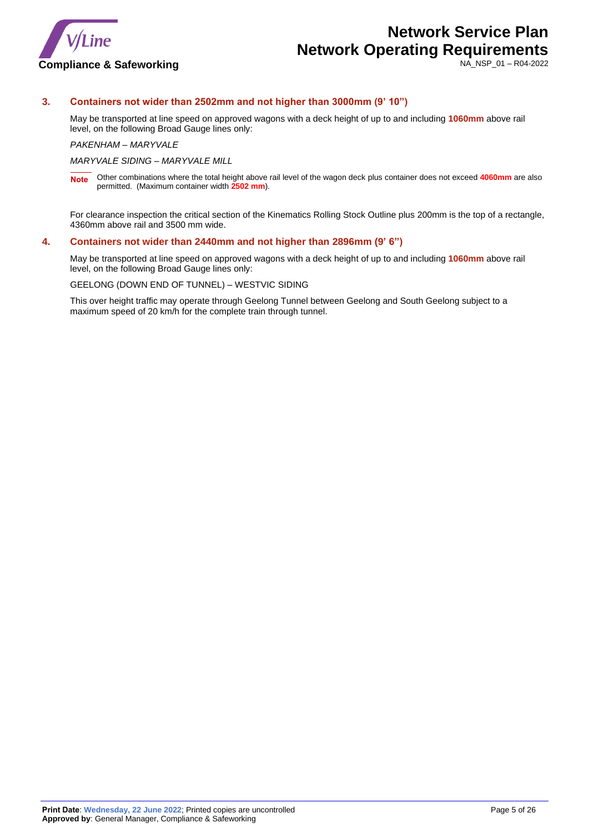

NA\_NSP\_01 – R04-2022

### **3. Containers not wider than 2502mm and not higher than 3000mm (9' 10")**

May be transported at line speed on approved wagons with a deck height of up to and including **1060mm** above rail level, on the following Broad Gauge lines only:

*PAKENHAM – MARYVALE*

*MARYVALE SIDING – MARYVALE MILL*

**Note** Other combinations where the total height above rail level of the wagon deck plus container does not exceed **4060mm** are also permitted. (Maximum container width **2502 mm**).

For clearance inspection the critical section of the Kinematics Rolling Stock Outline plus 200mm is the top of a rectangle, 4360mm above rail and 3500 mm wide.

#### **4. Containers not wider than 2440mm and not higher than 2896mm (9' 6")**

May be transported at line speed on approved wagons with a deck height of up to and including **1060mm** above rail level, on the following Broad Gauge lines only:

GEELONG (DOWN END OF TUNNEL) – WESTVIC SIDING

This over height traffic may operate through Geelong Tunnel between Geelong and South Geelong subject to a maximum speed of 20 km/h for the complete train through tunnel.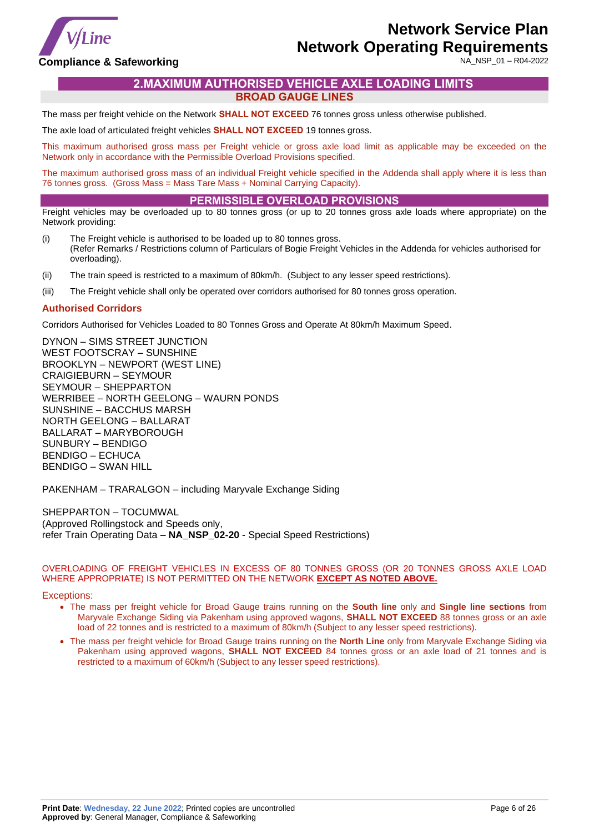

NA\_NSP\_01 – R04-2022

### <span id="page-5-0"></span>**Compliance & Safeworking**

# **2.MAXIMUM AUTHORISED VEHICLE AXLE LOADING LIMITS**

**BROAD GAUGE LINES**

<span id="page-5-1"></span>The mass per freight vehicle on the Network **SHALL NOT EXCEED** 76 tonnes gross unless otherwise published.

The axle load of articulated freight vehicles **SHALL NOT EXCEED** 19 tonnes gross.

This maximum authorised gross mass per Freight vehicle or gross axle load limit as applicable may be exceeded on the Network only in accordance with the Permissible Overload Provisions specified.

The maximum authorised gross mass of an individual Freight vehicle specified in the Addenda shall apply where it is less than 76 tonnes gross. (Gross Mass = Mass Tare Mass + Nominal Carrying Capacity).

### **PERMISSIBLE OVERLOAD PROVISIONS**

Freight vehicles may be overloaded up to 80 tonnes gross (or up to 20 tonnes gross axle loads where appropriate) on the Network providing:

- (i) The Freight vehicle is authorised to be loaded up to 80 tonnes gross. (Refer Remarks / Restrictions column of Particulars of Bogie Freight Vehicles in the Addenda for vehicles authorised for overloading).
- (ii) The train speed is restricted to a maximum of 80km/h. (Subject to any lesser speed restrictions).
- (iii) The Freight vehicle shall only be operated over corridors authorised for 80 tonnes gross operation.

#### **Authorised Corridors**

Corridors Authorised for Vehicles Loaded to 80 Tonnes Gross and Operate At 80km/h Maximum Speed.

DYNON – SIMS STREET JUNCTION WEST FOOTSCRAY – SUNSHINE BROOKLYN – NEWPORT (WEST LINE) CRAIGIEBURN – SEYMOUR SEYMOUR – SHEPPARTON WERRIBEE – NORTH GEELONG – WAURN PONDS SUNSHINE – BACCHUS MARSH NORTH GEELONG – BALLARAT BALLARAT – MARYBOROUGH SUNBURY – BENDIGO BENDIGO – ECHUCA BENDIGO – SWAN HILL

PAKENHAM – TRARALGON – including Maryvale Exchange Siding

SHEPPARTON – TOCUMWAL (Approved Rollingstock and Speeds only, refer Train Operating Data – **NA\_NSP\_02-20** - Special Speed Restrictions)

#### OVERLOADING OF FREIGHT VEHICLES IN EXCESS OF 80 TONNES GROSS (OR 20 TONNES GROSS AXLE LOAD WHERE APPROPRIATE) IS NOT PERMITTED ON THE NETWORK **EXCEPT AS NOTED ABOVE.**

#### Exceptions:

- The mass per freight vehicle for Broad Gauge trains running on the **South line** only and **Single line sections** from Maryvale Exchange Siding via Pakenham using approved wagons, **SHALL NOT EXCEED** 88 tonnes gross or an axle load of 22 tonnes and is restricted to a maximum of 80km/h (Subject to any lesser speed restrictions).
- The mass per freight vehicle for Broad Gauge trains running on the **North Line** only from Maryvale Exchange Siding via Pakenham using approved wagons, **SHALL NOT EXCEED** 84 tonnes gross or an axle load of 21 tonnes and is restricted to a maximum of 60km/h (Subject to any lesser speed restrictions).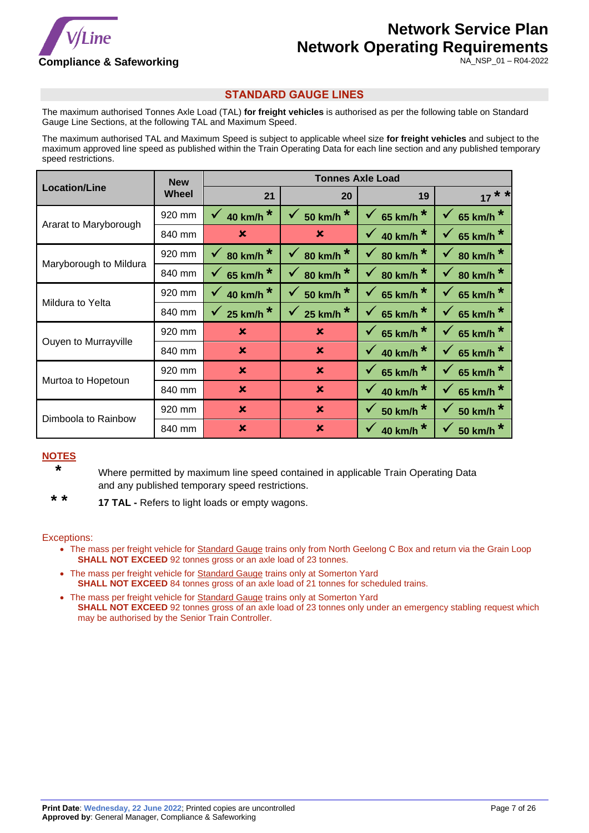

NA\_NSP\_01 – R04-2022

## **STANDARD GAUGE LINES**

<span id="page-6-0"></span>The maximum authorised Tonnes Axle Load (TAL) **for freight vehicles** is authorised as per the following table on Standard Gauge Line Sections, at the following TAL and Maximum Speed.

The maximum authorised TAL and Maximum Speed is subject to applicable wheel size **for freight vehicles** and subject to the maximum approved line speed as published within the Train Operating Data for each line section and any published temporary speed restrictions.

|                        | <b>New</b> |                           |                                      | <b>Tonnes Axle Load</b>              |                                   |
|------------------------|------------|---------------------------|--------------------------------------|--------------------------------------|-----------------------------------|
| <b>Location/Line</b>   | Wheel      | 21                        | 20                                   | 19                                   | $* *$                             |
|                        | 920 mm     | 40 km/h <sup>*</sup>      | 50 km/h <sup>*</sup>                 | $\star$<br>$\checkmark$<br>65 km/h   | $\checkmark$<br>65 km/h           |
| Ararat to Maryborough  | 840 mm     | $\mathbf x$               | ×                                    | 40 km/h <sup>*</sup>                 | 65 km/h<br>$\checkmark$           |
|                        | 920 mm     | 80 km/h <sup>*</sup>      | 80 km/h <sup>*</sup><br>$\checkmark$ | 80 km/h <sup>*</sup><br>$\checkmark$ | 80 km/h $*$<br>$\checkmark$       |
| Maryborough to Mildura | 840 mm     | 65 km/h <sup>*</sup>      | 80 km/h <sup>*</sup>                 | 80 km/h <sup>*</sup><br>$\checkmark$ | 80 km/h <sup>*</sup><br>$\sqrt{}$ |
| Mildura to Yelta       | 920 mm     | 40 km/h $*$               | 50 km/h <sup>*</sup>                 | 65 km/h $*$<br>$\checkmark$          | 65 km/h $*$<br>$\mathbf{v}$       |
|                        | 840 mm     | 25 km/h $*$               | 25 km/h $*$                          | 65 km/h <sup>*</sup><br>$\checkmark$ | 65 km/h $*$<br>V.                 |
| Ouyen to Murrayville   | 920 mm     | $\mathbf x$               | $\mathbf x$                          | 65 km/h $*$                          | 65 km/h $*$<br>$\mathbf{v}$       |
|                        | 840 mm     | $\mathbf x$               | $\mathbf x$                          | 40 km/h <sup>*</sup>                 | 65 km/h $*$<br>$\checkmark$       |
| Murtoa to Hopetoun     | 920 mm     | $\boldsymbol{\mathsf{x}}$ | $\boldsymbol{\mathsf{x}}$            | 65 km/h <sup>*</sup>                 | 65 km/h $*$<br>$\checkmark$       |
|                        | 840 mm     | $\boldsymbol{\mathsf{x}}$ | $\boldsymbol{\mathsf{x}}$            | 40 km/h <sup>*</sup>                 | 65 km/h<br>$\checkmark$           |
| Dimboola to Rainbow    | 920 mm     | $\boldsymbol{\mathsf{x}}$ | $\mathbf x$                          | $\star$<br><b>50 km/h</b>            | <b>50 km/h</b><br>✔               |
|                        | 840 mm     | $\mathbf x$               | $\mathbf x$                          | 40 km/h <sup>*</sup>                 | <b>50 km/h</b>                    |

# **NOTES**

 **\*** Where permitted by maximum line speed contained in applicable Train Operating Data and any published temporary speed restrictions.

 **\* \* 17 TAL -** Refers to light loads or empty wagons.

### Exceptions:

- The mass per freight vehicle for Standard Gauge trains only from North Geelong C Box and return via the Grain Loop **SHALL NOT EXCEED** 92 tonnes gross or an axle load of 23 tonnes.
- The mass per freight vehicle for Standard Gauge trains only at Somerton Yard **SHALL NOT EXCEED** 84 tonnes gross of an axle load of 21 tonnes for scheduled trains.
- The mass per freight vehicle for **Standard Gauge** trains only at Somerton Yard **SHALL NOT EXCEED** 92 tonnes gross of an axle load of 23 tonnes only under an emergency stabling request which may be authorised by the Senior Train Controller.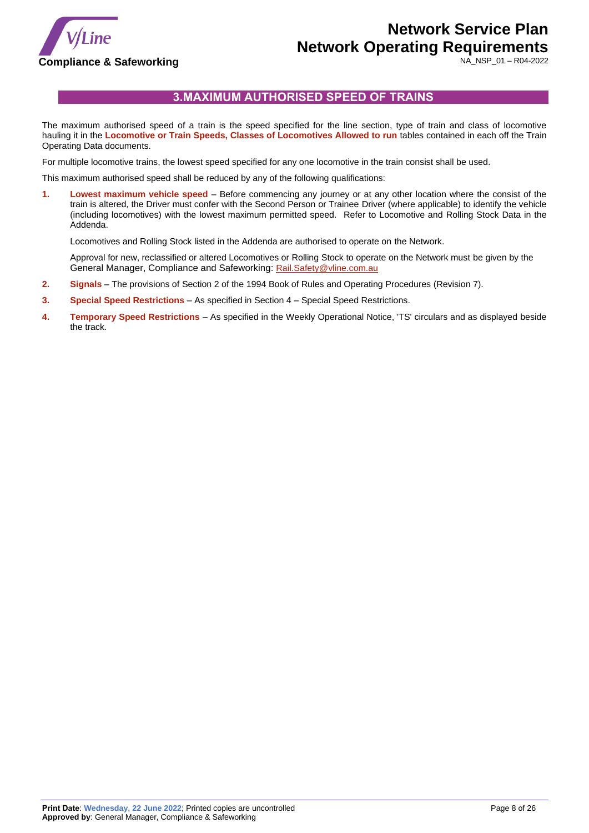

NA\_NSP\_01 – R04-2022

# **3.MAXIMUM AUTHORISED SPEED OF TRAINS**

<span id="page-7-0"></span>The maximum authorised speed of a train is the speed specified for the line section, type of train and class of locomotive hauling it in the **Locomotive or Train Speeds, Classes of Locomotives Allowed to run** tables contained in each off the Train Operating Data documents.

For multiple locomotive trains, the lowest speed specified for any one locomotive in the train consist shall be used.

This maximum authorised speed shall be reduced by any of the following qualifications:

**1. Lowest maximum vehicle speed** – Before commencing any journey or at any other location where the consist of the train is altered, the Driver must confer with the Second Person or Trainee Driver (where applicable) to identify the vehicle (including locomotives) with the lowest maximum permitted speed. Refer to Locomotive and Rolling Stock Data in the Addenda.

Locomotives and Rolling Stock listed in the Addenda are authorised to operate on the Network.

Approval for new, reclassified or altered Locomotives or Rolling Stock to operate on the Network must be given by the General Manager, Compliance and Safeworking: [Rail.Safety@vline.com.au](mailto:Rail.Safety@vline.com.au)

- **2. Signals** The provisions of Section 2 of the 1994 Book of Rules and Operating Procedures (Revision 7).
- **3. Special Speed Restrictions** As specified in Section 4 Special Speed Restrictions.
- **4. Temporary Speed Restrictions** As specified in the Weekly Operational Notice, 'TS' circulars and as displayed beside the track.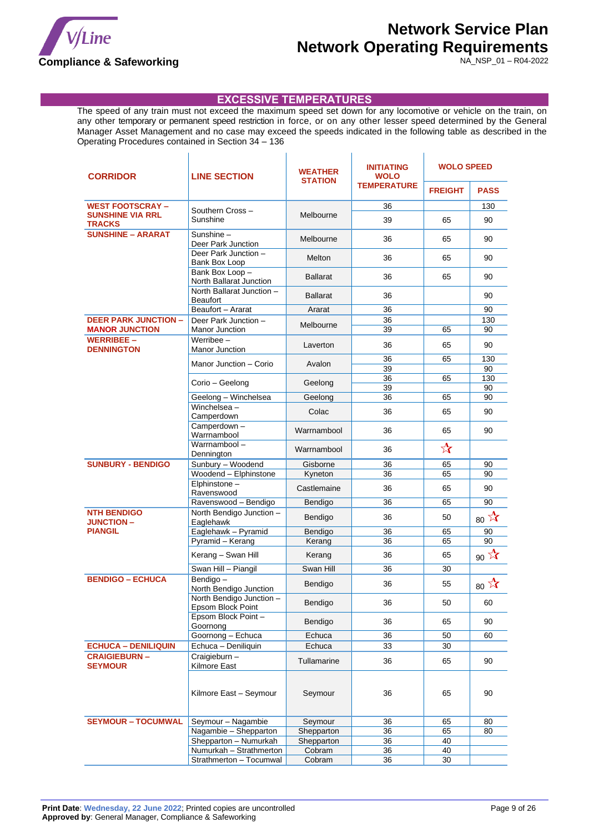

 $\mathbf{r}$ 

# **Network Service Plan Network Operating Requirements**

 $\mathbf{I}$ 

NA\_NSP\_01 – R04-2022

### **EXCESSIVE TEMPERATURES**

 $\mathbf{r}$ 

<span id="page-8-0"></span>The speed of any train must not exceed the maximum speed set down for any locomotive or vehicle on the train, on any other temporary or permanent speed restriction in force, or on any other lesser speed determined by the General Manager Asset Management and no case may exceed the speeds indicated in the following table as described in the Operating Procedures contained in Section 34 – 136

 $\mathbf{r}$ 

| <b>CORRIDOR</b>                          | <b>LINE SECTION</b>                           | <b>WEATHER</b><br><b>STATION</b> | <b>INITIATING</b><br><b>WOLO</b> | <b>WOLO SPEED</b>    |               |
|------------------------------------------|-----------------------------------------------|----------------------------------|----------------------------------|----------------------|---------------|
|                                          |                                               |                                  | <b>TEMPERATURE</b>               | <b>FREIGHT</b>       | <b>PASS</b>   |
| <b>WEST FOOTSCRAY -</b>                  |                                               |                                  | 36                               |                      | 130           |
| <b>SUNSHINE VIA RRL</b><br><b>TRACKS</b> | Southern Cross-<br>Sunshine                   | Melbourne                        | 39                               | 65                   | 90            |
| <b>SUNSHINE - ARARAT</b>                 | Sunshine -<br>Deer Park Junction              | Melbourne                        | 36                               | 65                   | 90            |
|                                          | Deer Park Junction -<br>Bank Box Loop         | Melton                           | 36                               | 65                   | 90            |
|                                          | Bank Box Loop-<br>North Ballarat Junction     | Ballarat                         | 36                               | 65                   | 90            |
|                                          | North Ballarat Junction -<br>Beaufort         | <b>Ballarat</b>                  | 36                               |                      | 90            |
|                                          | Beaufort - Ararat                             | Ararat                           | 36                               |                      | 90            |
| <b>DEER PARK JUNCTION -</b>              | Deer Park Junction -                          | Melbourne                        | 36                               |                      | 130           |
| <b>MANOR JUNCTION</b>                    | Manor Junction                                |                                  | 39                               | 65                   | 90            |
| <b>WERRIBEE -</b><br><b>DENNINGTON</b>   | Werribee $-$<br>Manor Junction                | Laverton                         | 36                               | 65                   | 90            |
|                                          | Manor Junction - Corio                        | Avalon                           | 36                               | 65                   | 130           |
|                                          |                                               |                                  | 39                               |                      | 90            |
|                                          | Corio - Geelong                               | Geelong                          | 36                               | 65                   | 130           |
|                                          |                                               |                                  | 39                               |                      | 90            |
|                                          | Geelong - Winchelsea                          | Geelona                          | 36                               | 65                   | 90            |
|                                          | Winchelsea -<br>Camperdown                    | Colac                            | 36                               | 65                   | 90            |
|                                          | Camperdown-<br>Warrnambool                    | Warrnambool                      | 36                               | 65                   | 90            |
|                                          | Warrnambool-<br>Dennington                    | Warrnambool                      | 36                               | $\frac{1}{\sqrt{2}}$ |               |
| <b>SUNBURY - BENDIGO</b>                 | Sunbury - Woodend                             | Gisborne                         | 36                               | 65                   | 90            |
|                                          | Woodend - Elphinstone                         | Kyneton                          | 36                               | 65                   | 90            |
|                                          | Elphinstone -<br>Ravenswood                   | Castlemaine                      | 36                               | 65                   | 90            |
|                                          | Ravenswood - Bendigo                          | Bendigo                          | 36                               | 65                   | 90            |
| <b>NTH BENDIGO</b><br><b>JUNCTION-</b>   | North Bendigo Junction -<br>Eaglehawk         | Bendigo                          | 36                               | 50                   | $80 \times 7$ |
| <b>PIANGIL</b>                           | Eaglehawk - Pyramid                           | Bendigo                          | 36                               | 65                   | 90            |
|                                          | Pyramid - Kerang                              | Kerang                           | 36                               | 65                   | 90            |
|                                          | Kerang - Swan Hill                            | Kerang                           | 36                               | 65                   | $90 \times $  |
|                                          | Swan Hill - Piangil                           | Swan Hill                        | 36                               | 30                   |               |
| <b>BENDIGO - ECHUCA</b>                  | Bendigo-<br>North Bendigo Junction            | Bendigo                          | 36                               | 55                   | 80 $77$       |
|                                          | North Bendigo Junction -<br>Epsom Block Point | Bendigo                          | 36                               | 50                   | 60            |
|                                          | Epsom Block Point -<br>Goornong               | Bendigo                          | 36                               | 65                   | 90            |
|                                          | Goornong - Echuca                             | Echuca                           | 36                               | 50                   | 60            |
| <b>ECHUCA - DENILIQUIN</b>               | Echuca - Deniliquin                           | Echuca                           | 33                               | 30                   |               |
| <b>CRAIGIEBURN-</b><br><b>SEYMOUR</b>    | Craigieburn -<br>Kilmore East                 | Tullamarine                      | 36                               | 65                   | 90            |
|                                          | Kilmore East - Seymour                        | Seymour                          | 36                               | 65                   | 90            |
| <b>SEYMOUR - TOCUMWAL</b>                | Seymour - Nagambie                            | Seymour                          | 36                               | 65                   | 80            |
|                                          | Nagambie - Shepparton                         | Shepparton                       | 36                               | 65                   | 80            |
|                                          | Shepparton - Numurkah                         | Shepparton                       | 36                               | 40                   |               |
|                                          | Numurkah - Strathmerton                       | Cobram                           | 36                               | 40                   |               |
|                                          | Strathmerton - Tocumwal                       | Cobram                           | 36                               | 30                   |               |
|                                          |                                               |                                  |                                  |                      |               |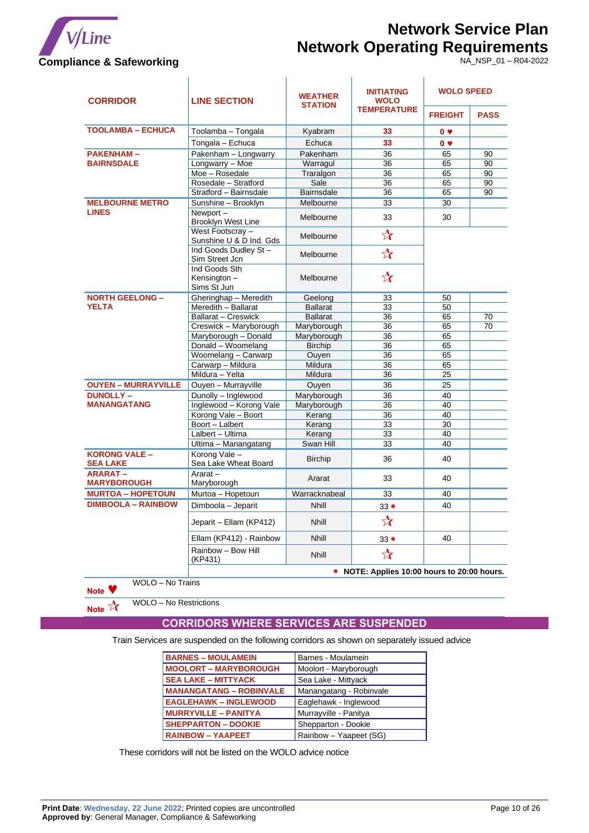

# **Network Service Plan Network Operating Requirements**

NA\_NSP\_01 – R04-2022

| <b>CORRIDOR</b>                         | <b>LINE SECTION</b>                                           | <b>WEATHER</b><br><b>STATION</b> | <b>INITIATING</b><br><b>WOLO</b> | <b>WOLO SPEED</b> |             |
|-----------------------------------------|---------------------------------------------------------------|----------------------------------|----------------------------------|-------------------|-------------|
|                                         |                                                               |                                  | <b>TEMPERATURE</b>               | <b>FREIGHT</b>    | <b>PASS</b> |
| <b>TOOLAMBA - ECHUCA</b>                | Toolamba – Tongala                                            | Kyabram                          | 33                               | 0 <sub>9</sub>    |             |
|                                         | Tongala - Echuca                                              | Echuca                           | 33                               | 0 <sub>v</sub>    |             |
| <b>PAKENHAM-</b>                        | Pakenham - Longwarry                                          | Pakenham                         | 36                               | 65                | 90          |
| <b>BAIRNSDALE</b>                       | Longwarry - Moe                                               | Warragul                         | 36                               | 65                | 90          |
|                                         | Moe - Rosedale                                                | Traralgon                        | 36                               | 65                | 90          |
|                                         | Rosedale - Stratford                                          | Sale                             | 36                               | 65                | 90          |
|                                         | Stratford - Bairnsdale                                        | <b>Bairnsdale</b>                | 36                               | 65                | 90          |
| <b>MELBOURNE METRO</b>                  | Sunshine - Brooklyn                                           | Melbourne                        | 33                               | 30                |             |
| <b>LINES</b>                            | Newport-<br>Brooklyn West Line                                | Melbourne                        | 33                               | 30                |             |
|                                         | West Footscray -<br>Sunshine U & D Ind. Gds                   | Melbourne                        | $\frac{1}{\sqrt{2}}$             |                   |             |
|                                         | Ind Goods Dudley St-<br>Sim Street Jcn                        | Melbourne                        | $\frac{1}{\sqrt{2}}$             |                   |             |
|                                         | Ind Goods Sth<br>Kensington-<br>Sims St Jun                   | Melbourne                        | $\frac{A}{A}$                    |                   |             |
| <b>NORTH GEELONG -</b>                  | Gheringhap - Meredith                                         | Geelong                          | 33                               | 50                |             |
| <b>YELTA</b>                            | Meredith - Ballarat                                           | <b>Ballarat</b>                  | 33                               | 50                |             |
|                                         | <b>Ballarat - Creswick</b>                                    | <b>Ballarat</b>                  | 36                               | 65                | 70          |
|                                         | Creswick - Maryborough                                        | Maryborough                      | 36                               | 65                | 70          |
|                                         | Maryborough - Donald                                          | Maryborough                      | 36                               | 65                |             |
|                                         | Donald - Woomelang                                            | <b>Birchip</b>                   | 36                               | 65                |             |
|                                         | Woomelang - Carwarp                                           | Ouyen                            | 36                               | 65                |             |
|                                         | Carwarp - Mildura                                             | Mildura                          | 36                               | 65                |             |
|                                         | Mildura - Yelta                                               | Mildura                          | 36                               | 25                |             |
| <b>OUYEN - MURRAYVILLE</b>              | Ouyen - Murrayville                                           | Ouyen                            | 36                               | 25                |             |
| <b>DUNOLLY-</b>                         | Dunolly - Inglewood                                           | Maryborough                      | 36                               | 40                |             |
| <b>MANANGATANG</b>                      | Inglewood - Korong Vale                                       | Maryborough                      | 36                               | 40                |             |
|                                         | Korong Vale - Boort                                           | Kerang                           | 36                               | 40                |             |
|                                         | Boort - Lalbert                                               | Kerang                           | 33                               | 30                |             |
|                                         | Lalbert - Ultima                                              | Kerang<br>Swan Hill              | 33<br>33                         | 40<br>40          |             |
| <b>KORONG VALE -</b><br><b>SEA LAKE</b> | Ultima - Manangatang<br>Korong Vale -<br>Sea Lake Wheat Board | <b>Birchip</b>                   | 36                               | 40                |             |
| <b>ARARAT-</b><br><b>MARYBOROUGH</b>    | Ararat $-$<br>Maryborough                                     | Ararat                           | 33                               | 40                |             |
| <b>MURTOA - HOPETOUN</b>                | Murtoa - Hopetoun                                             | Warracknabeal                    | 33                               | 40                |             |
| <b>DIMBOOLA - RAINBOW</b>               | Dimboola - Jeparit                                            | <b>Nhill</b>                     | $33*$                            | 40                |             |
|                                         | Jeparit – Ellam (KP412)                                       | <b>Nhill</b>                     | $\frac{1}{\lambda}$              |                   |             |
|                                         | Ellam (KP412) - Rainbow                                       | <b>Nhill</b>                     | $33*$                            | 40                |             |
|                                         | Rainbow - Bow Hill<br>(KP431)                                 | <b>Nhill</b>                     | $\frac{1}{\sqrt{2}}$             |                   |             |
|                                         | * NOTE: Applies 10:00 hours to 20:00 hours.                   |                                  |                                  |                   |             |

WOLO – No Trains

**Note** 

<span id="page-9-0"></span>**Note**  $\frac{1}{\sqrt{2}}$  WOLO – No Restrictions

### **CORRIDORS WHERE SERVICES ARE SUSPENDED**

Train Services are suspended on the following corridors as shown on separately issued advice

| <b>BARNES - MOULAMEIN</b>      | Barnes - Moulamein      |
|--------------------------------|-------------------------|
| <b>MOOLORT - MARYBOROUGH</b>   | Moolort - Maryborough   |
| <b>SEA LAKE - MITTYACK</b>     | Sea Lake - Mittyack     |
| <b>MANANGATANG - ROBINVALE</b> | Manangatang - Robinvale |
| <b>EAGLEHAWK - INGLEWOOD</b>   | Eaglehawk - Inglewood   |
| <b>MURRYVILLE - PANITYA</b>    | Murrayville - Panitya   |
| <b>SHEPPARTON - DOOKIE</b>     | Shepparton - Dookie     |
| <b>RAINBOW - YAAPEET</b>       | Rainbow - Yaapeet (SG)  |

These corridors will not be listed on the WOLO advice notice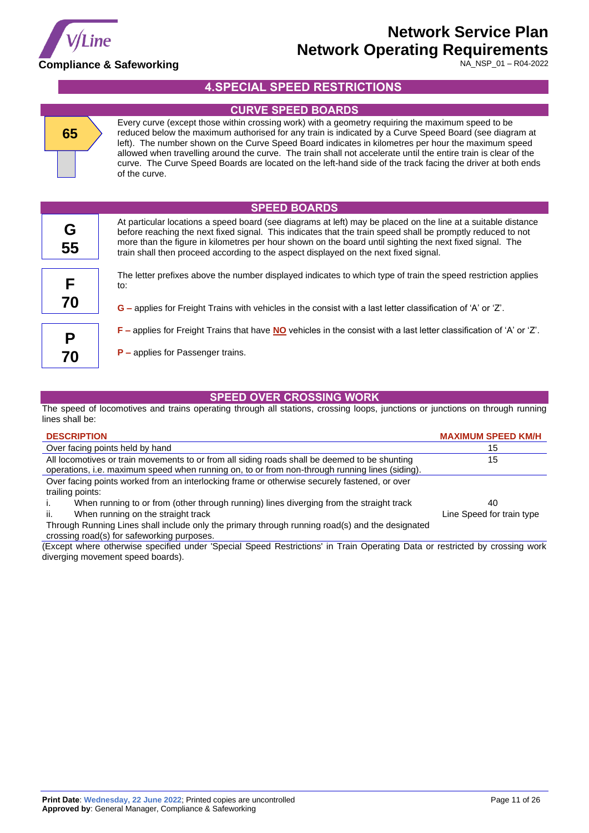

<span id="page-10-2"></span><span id="page-10-1"></span>ı

# **Network Service Plan Network Operating Requirements**

NA\_NSP\_01 – R04-2022

# **4.SPECIAL SPEED RESTRICTIONS**

<span id="page-10-0"></span>

|         | <b>CURVE SPEED BOARDS</b>                                                                                                                                                                                                                                                                                                                                                                                                                                                                                                                                             |
|---------|-----------------------------------------------------------------------------------------------------------------------------------------------------------------------------------------------------------------------------------------------------------------------------------------------------------------------------------------------------------------------------------------------------------------------------------------------------------------------------------------------------------------------------------------------------------------------|
| 65      | Every curve (except those within crossing work) with a geometry requiring the maximum speed to be<br>reduced below the maximum authorised for any train is indicated by a Curve Speed Board (see diagram at<br>left). The number shown on the Curve Speed Board indicates in kilometres per hour the maximum speed<br>allowed when travelling around the curve. The train shall not accelerate until the entire train is clear of the<br>curve. The Curve Speed Boards are located on the left-hand side of the track facing the driver at both ends<br>of the curve. |
|         | <b>SPEED BOARDS</b>                                                                                                                                                                                                                                                                                                                                                                                                                                                                                                                                                   |
| G<br>55 | At particular locations a speed board (see diagrams at left) may be placed on the line at a suitable distance<br>before reaching the next fixed signal. This indicates that the train speed shall be promptly reduced to not<br>more than the figure in kilometres per hour shown on the board until sighting the next fixed signal. The<br>train shall then proceed according to the aspect displayed on the next fixed signal.                                                                                                                                      |
| F       | The letter prefixes above the number displayed indicates to which type of train the speed restriction applies<br>to:                                                                                                                                                                                                                                                                                                                                                                                                                                                  |
| 70      | $G$ – applies for Freight Trains with vehicles in the consist with a last letter classification of 'A' or 'Z'.                                                                                                                                                                                                                                                                                                                                                                                                                                                        |
| P       | $F$ – applies for Freight Trains that have NO vehicles in the consist with a last letter classification of 'A' or 'Z'.                                                                                                                                                                                                                                                                                                                                                                                                                                                |
| 70      | $P$ – applies for Passenger trains.                                                                                                                                                                                                                                                                                                                                                                                                                                                                                                                                   |

### **SPEED OVER CROSSING WORK**

<span id="page-10-3"></span>The speed of locomotives and trains operating through all stations, crossing loops, junctions or junctions on through running lines shall be:

| <b>DESCRIPTION</b>                                                                                                                                                                              | <b>MAXIMUM SPEED KM/H</b> |
|-------------------------------------------------------------------------------------------------------------------------------------------------------------------------------------------------|---------------------------|
| Over facing points held by hand                                                                                                                                                                 | 15                        |
| All locomotives or train movements to or from all siding roads shall be deemed to be shunting<br>operations, i.e. maximum speed when running on, to or from non-through running lines (siding). | 15                        |
| Over facing points worked from an interlocking frame or otherwise securely fastened, or over<br>trailing points:                                                                                |                           |
| When running to or from (other through running) lines diverging from the straight track                                                                                                         | 40                        |
| When running on the straight track<br>ii.                                                                                                                                                       | Line Speed for train type |
| Through Running Lines shall include only the primary through running road(s) and the designated                                                                                                 |                           |
| crossing road(s) for safeworking purposes.                                                                                                                                                      |                           |

(Except where otherwise specified under 'Special Speed Restrictions' in Train Operating Data or restricted by crossing work diverging movement speed boards).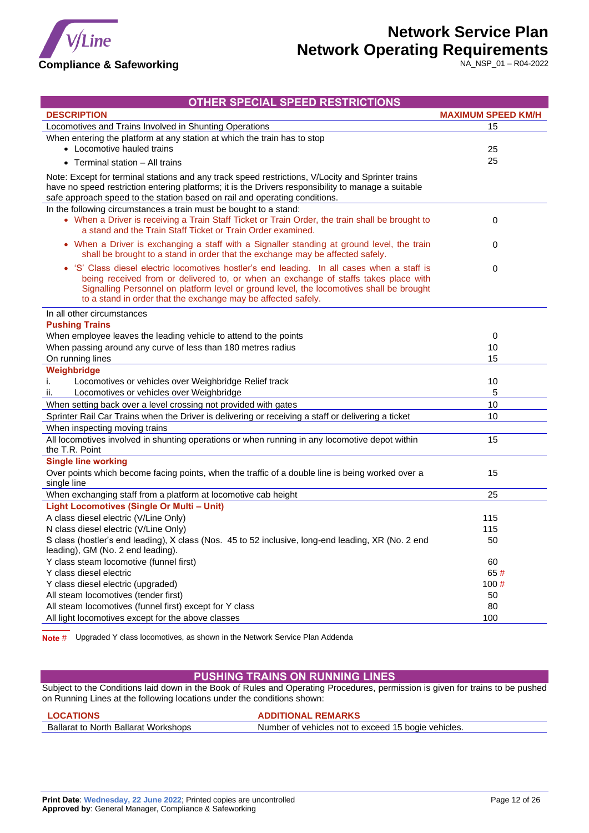

NA\_NSP\_01 – R04-2022

### **OTHER SPECIAL SPEED RESTRICTIONS**

<span id="page-11-0"></span>

| Locomotives and Trains Involved in Shunting Operations<br>15<br>When entering the platform at any station at which the train has to stop<br>• Locomotive hauled trains<br>25<br>25<br>• Terminal station - All trains<br>Note: Except for terminal stations and any track speed restrictions, V/Locity and Sprinter trains<br>have no speed restriction entering platforms; it is the Drivers responsibility to manage a suitable<br>safe approach speed to the station based on rail and operating conditions.<br>In the following circumstances a train must be bought to a stand:<br>• When a Driver is receiving a Train Staff Ticket or Train Order, the train shall be brought to<br>0<br>a stand and the Train Staff Ticket or Train Order examined.<br>• When a Driver is exchanging a staff with a Signaller standing at ground level, the train<br>0<br>shall be brought to a stand in order that the exchange may be affected safely.<br>• 'S' Class diesel electric locomotives hostler's end leading. In all cases when a staff is<br>0<br>being received from or delivered to, or when an exchange of staffs takes place with<br>Signalling Personnel on platform level or ground level, the locomotives shall be brought<br>to a stand in order that the exchange may be affected safely.<br>In all other circumstances<br><b>Pushing Trains</b><br>When employee leaves the leading vehicle to attend to the points<br>0<br>When passing around any curve of less than 180 metres radius<br>10<br>On running lines<br>15<br>Weighbridge<br>Locomotives or vehicles over Weighbridge Relief track<br>10<br>Τ.<br>Locomotives or vehicles over Weighbridge<br>5<br>н.<br>When setting back over a level crossing not provided with gates<br>10<br>Sprinter Rail Car Trains when the Driver is delivering or receiving a staff or delivering a ticket<br>10<br>When inspecting moving trains<br>All locomotives involved in shunting operations or when running in any locomotive depot within<br>15<br>the T.R. Point<br><b>Single line working</b><br>Over points which become facing points, when the traffic of a double line is being worked over a<br>15<br>single line<br>When exchanging staff from a platform at locomotive cab height<br>25<br>Light Locomotives (Single Or Multi - Unit)<br>A class diesel electric (V/Line Only)<br>115<br>N class diesel electric (V/Line Only)<br>115<br>S class (hostler's end leading), X class (Nos. 45 to 52 inclusive, long-end leading, XR (No. 2 end<br>50<br>leading), GM (No. 2 end leading).<br>Y class steam locomotive (funnel first)<br>60<br>Y class diesel electric<br>65#<br>Y class diesel electric (upgraded)<br>100#<br>All steam locomotives (tender first)<br>50<br>80<br>All steam locomotives (funnel first) except for Y class | <b>DESCRIPTION</b>                                 | <b>MAXIMUM SPEED KM/H</b> |
|-------------------------------------------------------------------------------------------------------------------------------------------------------------------------------------------------------------------------------------------------------------------------------------------------------------------------------------------------------------------------------------------------------------------------------------------------------------------------------------------------------------------------------------------------------------------------------------------------------------------------------------------------------------------------------------------------------------------------------------------------------------------------------------------------------------------------------------------------------------------------------------------------------------------------------------------------------------------------------------------------------------------------------------------------------------------------------------------------------------------------------------------------------------------------------------------------------------------------------------------------------------------------------------------------------------------------------------------------------------------------------------------------------------------------------------------------------------------------------------------------------------------------------------------------------------------------------------------------------------------------------------------------------------------------------------------------------------------------------------------------------------------------------------------------------------------------------------------------------------------------------------------------------------------------------------------------------------------------------------------------------------------------------------------------------------------------------------------------------------------------------------------------------------------------------------------------------------------------------------------------------------------------------------------------------------------------------------------------------------------------------------------------------------------------------------------------------------------------------------------------------------------------------------------------------------------------------------------------------------------------------------------------------------------------------------------------------------------------------------------------------------------------------------------------------------------|----------------------------------------------------|---------------------------|
|                                                                                                                                                                                                                                                                                                                                                                                                                                                                                                                                                                                                                                                                                                                                                                                                                                                                                                                                                                                                                                                                                                                                                                                                                                                                                                                                                                                                                                                                                                                                                                                                                                                                                                                                                                                                                                                                                                                                                                                                                                                                                                                                                                                                                                                                                                                                                                                                                                                                                                                                                                                                                                                                                                                                                                                                                   |                                                    |                           |
|                                                                                                                                                                                                                                                                                                                                                                                                                                                                                                                                                                                                                                                                                                                                                                                                                                                                                                                                                                                                                                                                                                                                                                                                                                                                                                                                                                                                                                                                                                                                                                                                                                                                                                                                                                                                                                                                                                                                                                                                                                                                                                                                                                                                                                                                                                                                                                                                                                                                                                                                                                                                                                                                                                                                                                                                                   |                                                    |                           |
|                                                                                                                                                                                                                                                                                                                                                                                                                                                                                                                                                                                                                                                                                                                                                                                                                                                                                                                                                                                                                                                                                                                                                                                                                                                                                                                                                                                                                                                                                                                                                                                                                                                                                                                                                                                                                                                                                                                                                                                                                                                                                                                                                                                                                                                                                                                                                                                                                                                                                                                                                                                                                                                                                                                                                                                                                   |                                                    |                           |
|                                                                                                                                                                                                                                                                                                                                                                                                                                                                                                                                                                                                                                                                                                                                                                                                                                                                                                                                                                                                                                                                                                                                                                                                                                                                                                                                                                                                                                                                                                                                                                                                                                                                                                                                                                                                                                                                                                                                                                                                                                                                                                                                                                                                                                                                                                                                                                                                                                                                                                                                                                                                                                                                                                                                                                                                                   |                                                    |                           |
|                                                                                                                                                                                                                                                                                                                                                                                                                                                                                                                                                                                                                                                                                                                                                                                                                                                                                                                                                                                                                                                                                                                                                                                                                                                                                                                                                                                                                                                                                                                                                                                                                                                                                                                                                                                                                                                                                                                                                                                                                                                                                                                                                                                                                                                                                                                                                                                                                                                                                                                                                                                                                                                                                                                                                                                                                   |                                                    |                           |
|                                                                                                                                                                                                                                                                                                                                                                                                                                                                                                                                                                                                                                                                                                                                                                                                                                                                                                                                                                                                                                                                                                                                                                                                                                                                                                                                                                                                                                                                                                                                                                                                                                                                                                                                                                                                                                                                                                                                                                                                                                                                                                                                                                                                                                                                                                                                                                                                                                                                                                                                                                                                                                                                                                                                                                                                                   |                                                    |                           |
|                                                                                                                                                                                                                                                                                                                                                                                                                                                                                                                                                                                                                                                                                                                                                                                                                                                                                                                                                                                                                                                                                                                                                                                                                                                                                                                                                                                                                                                                                                                                                                                                                                                                                                                                                                                                                                                                                                                                                                                                                                                                                                                                                                                                                                                                                                                                                                                                                                                                                                                                                                                                                                                                                                                                                                                                                   |                                                    |                           |
|                                                                                                                                                                                                                                                                                                                                                                                                                                                                                                                                                                                                                                                                                                                                                                                                                                                                                                                                                                                                                                                                                                                                                                                                                                                                                                                                                                                                                                                                                                                                                                                                                                                                                                                                                                                                                                                                                                                                                                                                                                                                                                                                                                                                                                                                                                                                                                                                                                                                                                                                                                                                                                                                                                                                                                                                                   |                                                    |                           |
|                                                                                                                                                                                                                                                                                                                                                                                                                                                                                                                                                                                                                                                                                                                                                                                                                                                                                                                                                                                                                                                                                                                                                                                                                                                                                                                                                                                                                                                                                                                                                                                                                                                                                                                                                                                                                                                                                                                                                                                                                                                                                                                                                                                                                                                                                                                                                                                                                                                                                                                                                                                                                                                                                                                                                                                                                   |                                                    |                           |
|                                                                                                                                                                                                                                                                                                                                                                                                                                                                                                                                                                                                                                                                                                                                                                                                                                                                                                                                                                                                                                                                                                                                                                                                                                                                                                                                                                                                                                                                                                                                                                                                                                                                                                                                                                                                                                                                                                                                                                                                                                                                                                                                                                                                                                                                                                                                                                                                                                                                                                                                                                                                                                                                                                                                                                                                                   |                                                    |                           |
|                                                                                                                                                                                                                                                                                                                                                                                                                                                                                                                                                                                                                                                                                                                                                                                                                                                                                                                                                                                                                                                                                                                                                                                                                                                                                                                                                                                                                                                                                                                                                                                                                                                                                                                                                                                                                                                                                                                                                                                                                                                                                                                                                                                                                                                                                                                                                                                                                                                                                                                                                                                                                                                                                                                                                                                                                   |                                                    |                           |
|                                                                                                                                                                                                                                                                                                                                                                                                                                                                                                                                                                                                                                                                                                                                                                                                                                                                                                                                                                                                                                                                                                                                                                                                                                                                                                                                                                                                                                                                                                                                                                                                                                                                                                                                                                                                                                                                                                                                                                                                                                                                                                                                                                                                                                                                                                                                                                                                                                                                                                                                                                                                                                                                                                                                                                                                                   |                                                    |                           |
|                                                                                                                                                                                                                                                                                                                                                                                                                                                                                                                                                                                                                                                                                                                                                                                                                                                                                                                                                                                                                                                                                                                                                                                                                                                                                                                                                                                                                                                                                                                                                                                                                                                                                                                                                                                                                                                                                                                                                                                                                                                                                                                                                                                                                                                                                                                                                                                                                                                                                                                                                                                                                                                                                                                                                                                                                   |                                                    |                           |
|                                                                                                                                                                                                                                                                                                                                                                                                                                                                                                                                                                                                                                                                                                                                                                                                                                                                                                                                                                                                                                                                                                                                                                                                                                                                                                                                                                                                                                                                                                                                                                                                                                                                                                                                                                                                                                                                                                                                                                                                                                                                                                                                                                                                                                                                                                                                                                                                                                                                                                                                                                                                                                                                                                                                                                                                                   |                                                    |                           |
|                                                                                                                                                                                                                                                                                                                                                                                                                                                                                                                                                                                                                                                                                                                                                                                                                                                                                                                                                                                                                                                                                                                                                                                                                                                                                                                                                                                                                                                                                                                                                                                                                                                                                                                                                                                                                                                                                                                                                                                                                                                                                                                                                                                                                                                                                                                                                                                                                                                                                                                                                                                                                                                                                                                                                                                                                   |                                                    |                           |
|                                                                                                                                                                                                                                                                                                                                                                                                                                                                                                                                                                                                                                                                                                                                                                                                                                                                                                                                                                                                                                                                                                                                                                                                                                                                                                                                                                                                                                                                                                                                                                                                                                                                                                                                                                                                                                                                                                                                                                                                                                                                                                                                                                                                                                                                                                                                                                                                                                                                                                                                                                                                                                                                                                                                                                                                                   |                                                    |                           |
|                                                                                                                                                                                                                                                                                                                                                                                                                                                                                                                                                                                                                                                                                                                                                                                                                                                                                                                                                                                                                                                                                                                                                                                                                                                                                                                                                                                                                                                                                                                                                                                                                                                                                                                                                                                                                                                                                                                                                                                                                                                                                                                                                                                                                                                                                                                                                                                                                                                                                                                                                                                                                                                                                                                                                                                                                   |                                                    |                           |
|                                                                                                                                                                                                                                                                                                                                                                                                                                                                                                                                                                                                                                                                                                                                                                                                                                                                                                                                                                                                                                                                                                                                                                                                                                                                                                                                                                                                                                                                                                                                                                                                                                                                                                                                                                                                                                                                                                                                                                                                                                                                                                                                                                                                                                                                                                                                                                                                                                                                                                                                                                                                                                                                                                                                                                                                                   |                                                    |                           |
|                                                                                                                                                                                                                                                                                                                                                                                                                                                                                                                                                                                                                                                                                                                                                                                                                                                                                                                                                                                                                                                                                                                                                                                                                                                                                                                                                                                                                                                                                                                                                                                                                                                                                                                                                                                                                                                                                                                                                                                                                                                                                                                                                                                                                                                                                                                                                                                                                                                                                                                                                                                                                                                                                                                                                                                                                   |                                                    |                           |
|                                                                                                                                                                                                                                                                                                                                                                                                                                                                                                                                                                                                                                                                                                                                                                                                                                                                                                                                                                                                                                                                                                                                                                                                                                                                                                                                                                                                                                                                                                                                                                                                                                                                                                                                                                                                                                                                                                                                                                                                                                                                                                                                                                                                                                                                                                                                                                                                                                                                                                                                                                                                                                                                                                                                                                                                                   |                                                    |                           |
|                                                                                                                                                                                                                                                                                                                                                                                                                                                                                                                                                                                                                                                                                                                                                                                                                                                                                                                                                                                                                                                                                                                                                                                                                                                                                                                                                                                                                                                                                                                                                                                                                                                                                                                                                                                                                                                                                                                                                                                                                                                                                                                                                                                                                                                                                                                                                                                                                                                                                                                                                                                                                                                                                                                                                                                                                   |                                                    |                           |
|                                                                                                                                                                                                                                                                                                                                                                                                                                                                                                                                                                                                                                                                                                                                                                                                                                                                                                                                                                                                                                                                                                                                                                                                                                                                                                                                                                                                                                                                                                                                                                                                                                                                                                                                                                                                                                                                                                                                                                                                                                                                                                                                                                                                                                                                                                                                                                                                                                                                                                                                                                                                                                                                                                                                                                                                                   |                                                    |                           |
|                                                                                                                                                                                                                                                                                                                                                                                                                                                                                                                                                                                                                                                                                                                                                                                                                                                                                                                                                                                                                                                                                                                                                                                                                                                                                                                                                                                                                                                                                                                                                                                                                                                                                                                                                                                                                                                                                                                                                                                                                                                                                                                                                                                                                                                                                                                                                                                                                                                                                                                                                                                                                                                                                                                                                                                                                   |                                                    |                           |
|                                                                                                                                                                                                                                                                                                                                                                                                                                                                                                                                                                                                                                                                                                                                                                                                                                                                                                                                                                                                                                                                                                                                                                                                                                                                                                                                                                                                                                                                                                                                                                                                                                                                                                                                                                                                                                                                                                                                                                                                                                                                                                                                                                                                                                                                                                                                                                                                                                                                                                                                                                                                                                                                                                                                                                                                                   |                                                    |                           |
|                                                                                                                                                                                                                                                                                                                                                                                                                                                                                                                                                                                                                                                                                                                                                                                                                                                                                                                                                                                                                                                                                                                                                                                                                                                                                                                                                                                                                                                                                                                                                                                                                                                                                                                                                                                                                                                                                                                                                                                                                                                                                                                                                                                                                                                                                                                                                                                                                                                                                                                                                                                                                                                                                                                                                                                                                   |                                                    |                           |
|                                                                                                                                                                                                                                                                                                                                                                                                                                                                                                                                                                                                                                                                                                                                                                                                                                                                                                                                                                                                                                                                                                                                                                                                                                                                                                                                                                                                                                                                                                                                                                                                                                                                                                                                                                                                                                                                                                                                                                                                                                                                                                                                                                                                                                                                                                                                                                                                                                                                                                                                                                                                                                                                                                                                                                                                                   |                                                    |                           |
|                                                                                                                                                                                                                                                                                                                                                                                                                                                                                                                                                                                                                                                                                                                                                                                                                                                                                                                                                                                                                                                                                                                                                                                                                                                                                                                                                                                                                                                                                                                                                                                                                                                                                                                                                                                                                                                                                                                                                                                                                                                                                                                                                                                                                                                                                                                                                                                                                                                                                                                                                                                                                                                                                                                                                                                                                   |                                                    |                           |
|                                                                                                                                                                                                                                                                                                                                                                                                                                                                                                                                                                                                                                                                                                                                                                                                                                                                                                                                                                                                                                                                                                                                                                                                                                                                                                                                                                                                                                                                                                                                                                                                                                                                                                                                                                                                                                                                                                                                                                                                                                                                                                                                                                                                                                                                                                                                                                                                                                                                                                                                                                                                                                                                                                                                                                                                                   |                                                    |                           |
|                                                                                                                                                                                                                                                                                                                                                                                                                                                                                                                                                                                                                                                                                                                                                                                                                                                                                                                                                                                                                                                                                                                                                                                                                                                                                                                                                                                                                                                                                                                                                                                                                                                                                                                                                                                                                                                                                                                                                                                                                                                                                                                                                                                                                                                                                                                                                                                                                                                                                                                                                                                                                                                                                                                                                                                                                   |                                                    |                           |
|                                                                                                                                                                                                                                                                                                                                                                                                                                                                                                                                                                                                                                                                                                                                                                                                                                                                                                                                                                                                                                                                                                                                                                                                                                                                                                                                                                                                                                                                                                                                                                                                                                                                                                                                                                                                                                                                                                                                                                                                                                                                                                                                                                                                                                                                                                                                                                                                                                                                                                                                                                                                                                                                                                                                                                                                                   |                                                    |                           |
|                                                                                                                                                                                                                                                                                                                                                                                                                                                                                                                                                                                                                                                                                                                                                                                                                                                                                                                                                                                                                                                                                                                                                                                                                                                                                                                                                                                                                                                                                                                                                                                                                                                                                                                                                                                                                                                                                                                                                                                                                                                                                                                                                                                                                                                                                                                                                                                                                                                                                                                                                                                                                                                                                                                                                                                                                   |                                                    |                           |
|                                                                                                                                                                                                                                                                                                                                                                                                                                                                                                                                                                                                                                                                                                                                                                                                                                                                                                                                                                                                                                                                                                                                                                                                                                                                                                                                                                                                                                                                                                                                                                                                                                                                                                                                                                                                                                                                                                                                                                                                                                                                                                                                                                                                                                                                                                                                                                                                                                                                                                                                                                                                                                                                                                                                                                                                                   |                                                    |                           |
|                                                                                                                                                                                                                                                                                                                                                                                                                                                                                                                                                                                                                                                                                                                                                                                                                                                                                                                                                                                                                                                                                                                                                                                                                                                                                                                                                                                                                                                                                                                                                                                                                                                                                                                                                                                                                                                                                                                                                                                                                                                                                                                                                                                                                                                                                                                                                                                                                                                                                                                                                                                                                                                                                                                                                                                                                   | All light locomotives except for the above classes | 100                       |

**Note** # Upgraded Y class locomotives, as shown in the Network Service Plan Addenda

### **PUSHING TRAINS ON RUNNING LINES**

<span id="page-11-1"></span>Subject to the Conditions laid down in the Book of Rules and Operating Procedures, permission is given for trains to be pushed on Running Lines at the following locations under the conditions shown:

| <b>LOCATIONS</b>                     | <b>ADDITIONAL REMARKS</b>                           |
|--------------------------------------|-----------------------------------------------------|
| Ballarat to North Ballarat Workshops | Number of vehicles not to exceed 15 bogie vehicles. |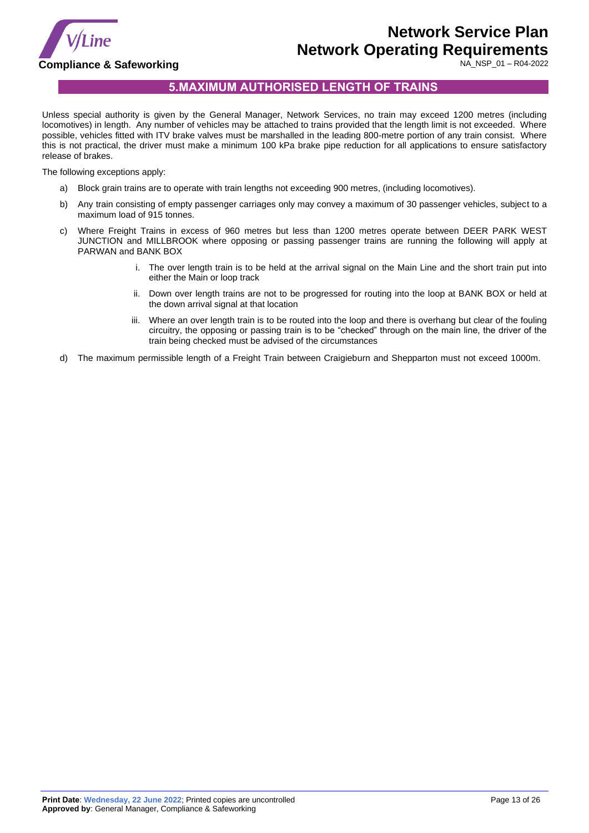

## **5.MAXIMUM AUTHORISED LENGTH OF TRAINS**

<span id="page-12-0"></span>Unless special authority is given by the General Manager, Network Services, no train may exceed 1200 metres (including locomotives) in length. Any number of vehicles may be attached to trains provided that the length limit is not exceeded. Where possible, vehicles fitted with ITV brake valves must be marshalled in the leading 800-metre portion of any train consist. Where this is not practical, the driver must make a minimum 100 kPa brake pipe reduction for all applications to ensure satisfactory release of brakes.

The following exceptions apply:

- Block grain trains are to operate with train lengths not exceeding 900 metres, (including locomotives).
- b) Any train consisting of empty passenger carriages only may convey a maximum of 30 passenger vehicles, subject to a maximum load of 915 tonnes.
- c) Where Freight Trains in excess of 960 metres but less than 1200 metres operate between DEER PARK WEST JUNCTION and MILLBROOK where opposing or passing passenger trains are running the following will apply at PARWAN and BANK BOX
	- i. The over length train is to be held at the arrival signal on the Main Line and the short train put into either the Main or loop track
	- ii. Down over length trains are not to be progressed for routing into the loop at BANK BOX or held at the down arrival signal at that location
	- iii. Where an over length train is to be routed into the loop and there is overhang but clear of the fouling circuitry, the opposing or passing train is to be "checked" through on the main line, the driver of the train being checked must be advised of the circumstances
- d) The maximum permissible length of a Freight Train between Craigieburn and Shepparton must not exceed 1000m.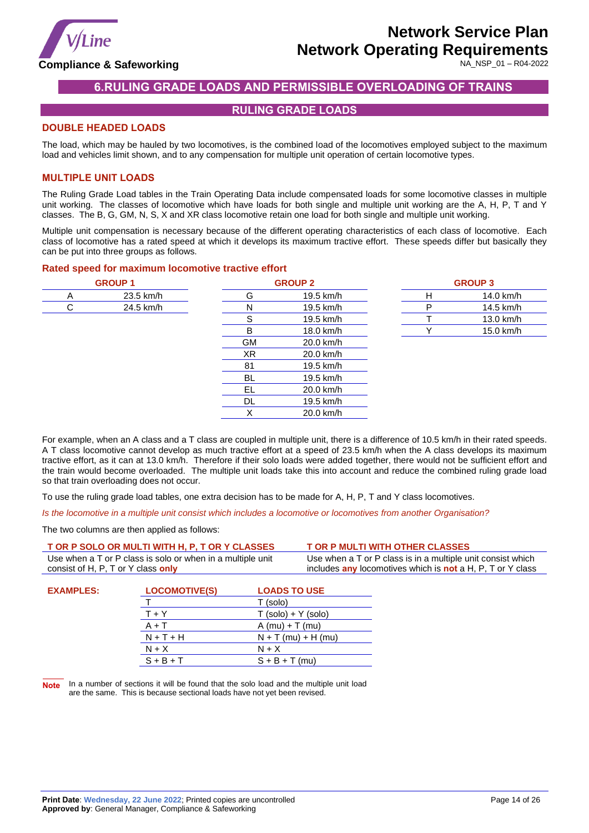

NA\_NSP\_01 – R04-2022

# **6.RULING GRADE LOADS AND PERMISSIBLE OVERLOADING OF TRAINS**

### **RULING GRADE LOADS**

### <span id="page-13-1"></span><span id="page-13-0"></span>**DOUBLE HEADED LOADS**

The load, which may be hauled by two locomotives, is the combined load of the locomotives employed subject to the maximum load and vehicles limit shown, and to any compensation for multiple unit operation of certain locomotive types.

### **MULTIPLE UNIT LOADS**

The Ruling Grade Load tables in the Train Operating Data include compensated loads for some locomotive classes in multiple unit working. The classes of locomotive which have loads for both single and multiple unit working are the A, H, P, T and Y classes. The B, G, GM, N, S, X and XR class locomotive retain one load for both single and multiple unit working.

Multiple unit compensation is necessary because of the different operating characteristics of each class of locomotive. Each class of locomotive has a rated speed at which it develops its maximum tractive effort. These speeds differ but basically they can be put into three groups as follows.

#### **Rated speed for maximum locomotive tractive effort**

| <b>GROUP 1</b> |    | <b>GROUP 2</b> |   | <b>GROUP 3</b> |
|----------------|----|----------------|---|----------------|
| 23.5 km/h<br>A | G  | 19.5 km/h      | H | 14.0 km/h      |
| 24.5 km/h<br>С | N  | 19.5 km/h      | P | 14.5 km/h      |
|                | S  | 19.5 km/h      |   | 13.0 km/h      |
|                | B  | 18.0 km/h      |   | 15.0 km/h      |
|                | GМ | 20.0 km/h      |   |                |
|                | XR | 20.0 km/h      |   |                |
|                | 81 | 19.5 km/h      |   |                |
|                | BL | 19.5 km/h      |   |                |
|                | EL | 20.0 km/h      |   |                |
|                | DL | 19.5 km/h      |   |                |
|                | Χ  | 20.0 km/h      |   |                |

For example, when an A class and a T class are coupled in multiple unit, there is a difference of 10.5 km/h in their rated speeds. A T class locomotive cannot develop as much tractive effort at a speed of 23.5 km/h when the A class develops its maximum tractive effort, as it can at 13.0 km/h. Therefore if their solo loads were added together, there would not be sufficient effort and the train would become overloaded. The multiple unit loads take this into account and reduce the combined ruling grade load so that train overloading does not occur.

To use the ruling grade load tables, one extra decision has to be made for A, H, P, T and Y class locomotives.

*Is the locomotive in a multiple unit consist which includes a locomotive or locomotives from another Organisation?*

The two columns are then applied as follows:

|                                                                                                  | T OR P SOLO OR MULTI WITH H, P, T OR Y CLASSES |                                                                                                                           | <b>T OR P MULTI WITH OTHER CLASSES</b> |
|--------------------------------------------------------------------------------------------------|------------------------------------------------|---------------------------------------------------------------------------------------------------------------------------|----------------------------------------|
| Use when a T or P class is solo or when in a multiple unit<br>consist of H, P, T or Y class only |                                                | Use when a T or P class is in a multiple unit consist which<br>includes any locomotives which is not a H, P, T or Y class |                                        |
| <b>EXAMPLES:</b>                                                                                 | <b>LOCOMOTIVE(S)</b>                           | <b>LOADS TO USE</b><br>(solo)                                                                                             |                                        |

|             | (SOIO)                |
|-------------|-----------------------|
| $T + Y$     | $T (solo) + Y (solo)$ |
| $A + T$     | $A$ (mu) + T (mu)     |
| $N + T + H$ | $N + T$ (mu) + H (mu) |
| $N + X$     | $N + X$               |
| $S + B + T$ | $S + B + T$ (mu)      |
|             |                       |

**Note** In a number of sections it will be found that the solo load and the multiple unit load are the same. This is because sectional loads have not yet been revised.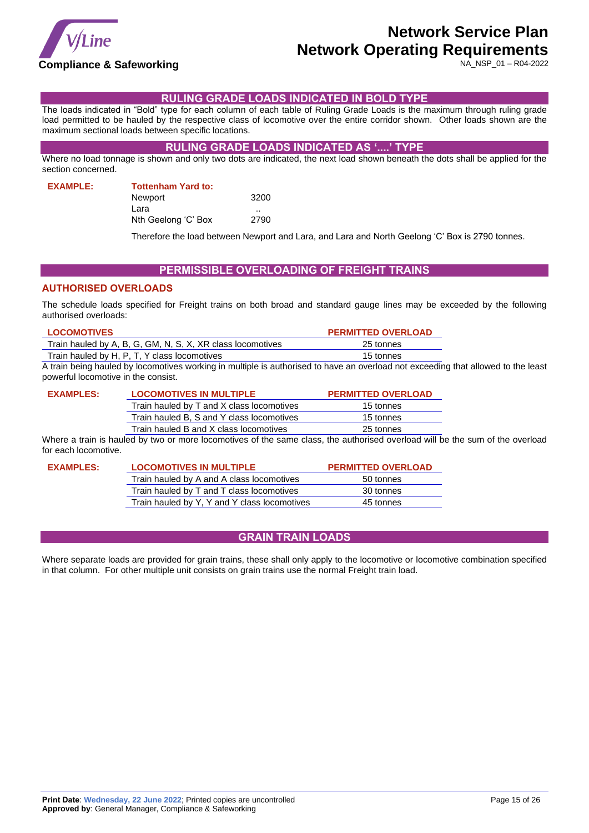

NA\_NSP\_01 – R04-2022

### **RULING GRADE LOADS INDICATED IN BOLD TYPE**

<span id="page-14-0"></span>The loads indicated in "Bold" type for each column of each table of Ruling Grade Loads is the maximum through ruling grade load permitted to be hauled by the respective class of locomotive over the entire corridor shown. Other loads shown are the maximum sectional loads between specific locations.

### **RULING GRADE LOADS INDICATED AS '....' TYPE**

<span id="page-14-1"></span>Where no load tonnage is shown and only two dots are indicated, the next load shown beneath the dots shall be applied for the section concerned.

**EXAMPLE: Tottenham Yard to:**

| Newport             | 3200 |
|---------------------|------|
| Lara                |      |
| Nth Geelong 'C' Box | 2790 |
|                     |      |

Therefore the load between Newport and Lara, and Lara and North Geelong 'C' Box is 2790 tonnes.

### **PERMISSIBLE OVERLOADING OF FREIGHT TRAINS**

### <span id="page-14-2"></span>**AUTHORISED OVERLOADS**

The schedule loads specified for Freight trains on both broad and standard gauge lines may be exceeded by the following authorised overloads:

| <b>LOCOMOTIVES</b>                                         | <b>PERMITTED OVERLOAD</b> |
|------------------------------------------------------------|---------------------------|
| Train hauled by A, B, G, GM, N, S, X, XR class locomotives | 25 tonnes                 |
| Train hauled by H, P, T, Y class locomotives               | 15 tonnes                 |
| .                                                          |                           |

A train being hauled by locomotives working in multiple is authorised to have an overload not exceeding that allowed to the least powerful locomotive in the consist.

# **EXAMPLES: LOCOMOTIVES IN MULTIPLE PERMITTED OVERLOAD**

| Train hauled by T and X class locomotives | 15 tonnes |
|-------------------------------------------|-----------|
| Train hauled B, S and Y class locomotives | 15 tonnes |
| Train hauled B and X class locomotives    | 25 tonnes |

Where a train is hauled by two or more locomotives of the same class, the authorised overload will be the sum of the overload for each locomotive.

| <b>EXAMPLES:</b> | <b>LOCOMOTIVES IN MULTIPLE</b>               | <b>PERMITTED OVERLOAD</b> |
|------------------|----------------------------------------------|---------------------------|
|                  | Train hauled by A and A class locomotives    | 50 tonnes                 |
|                  | Train hauled by T and T class locomotives    | 30 tonnes                 |
|                  | Train hauled by Y, Y and Y class locomotives | 45 tonnes                 |

### **GRAIN TRAIN LOADS**

<span id="page-14-3"></span>Where separate loads are provided for grain trains, these shall only apply to the locomotive or locomotive combination specified in that column. For other multiple unit consists on grain trains use the normal Freight train load.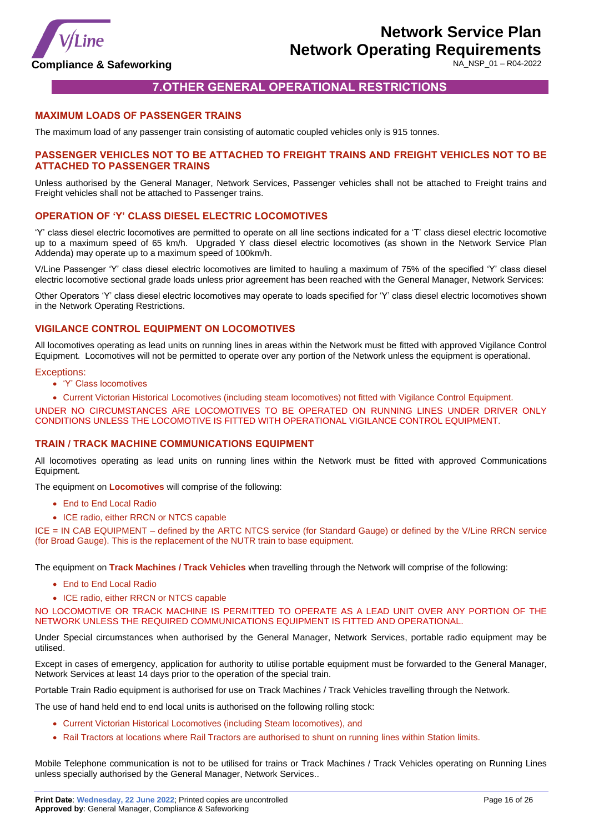

# **7.OTHER GENERAL OPERATIONAL RESTRICTIONS**

#### <span id="page-15-1"></span><span id="page-15-0"></span>**MAXIMUM LOADS OF PASSENGER TRAINS**

The maximum load of any passenger train consisting of automatic coupled vehicles only is 915 tonnes.

#### **PASSENGER VEHICLES NOT TO BE ATTACHED TO FREIGHT TRAINS AND FREIGHT VEHICLES NOT TO BE ATTACHED TO PASSENGER TRAINS**

Unless authorised by the General Manager, Network Services, Passenger vehicles shall not be attached to Freight trains and Freight vehicles shall not be attached to Passenger trains.

#### **OPERATION OF 'Y' CLASS DIESEL ELECTRIC LOCOMOTIVES**

'Y' class diesel electric locomotives are permitted to operate on all line sections indicated for a 'T' class diesel electric locomotive up to a maximum speed of 65 km/h. Upgraded Y class diesel electric locomotives (as shown in the Network Service Plan Addenda) may operate up to a maximum speed of 100km/h.

V/Line Passenger 'Y' class diesel electric locomotives are limited to hauling a maximum of 75% of the specified 'Y' class diesel electric locomotive sectional grade loads unless prior agreement has been reached with the General Manager, Network Services:

Other Operators 'Y' class diesel electric locomotives may operate to loads specified for 'Y' class diesel electric locomotives shown in the Network Operating Restrictions.

#### **VIGILANCE CONTROL EQUIPMENT ON LOCOMOTIVES**

All locomotives operating as lead units on running lines in areas within the Network must be fitted with approved Vigilance Control Equipment. Locomotives will not be permitted to operate over any portion of the Network unless the equipment is operational.

#### Exceptions:

- 'Y' Class locomotives
- Current Victorian Historical Locomotives (including steam locomotives) not fitted with Vigilance Control Equipment.

UNDER NO CIRCUMSTANCES ARE LOCOMOTIVES TO BE OPERATED ON RUNNING LINES UNDER DRIVER ONLY CONDITIONS UNLESS THE LOCOMOTIVE IS FITTED WITH OPERATIONAL VIGILANCE CONTROL EQUIPMENT.

#### **TRAIN / TRACK MACHINE COMMUNICATIONS EQUIPMENT**

All locomotives operating as lead units on running lines within the Network must be fitted with approved Communications Equipment.

The equipment on **Locomotives** will comprise of the following:

- End to End Local Radio
- ICE radio, either RRCN or NTCS capable

ICE = IN CAB EQUIPMENT – defined by the ARTC NTCS service (for Standard Gauge) or defined by the V/Line RRCN service (for Broad Gauge). This is the replacement of the NUTR train to base equipment.

The equipment on **Track Machines / Track Vehicles** when travelling through the Network will comprise of the following:

- End to End Local Radio
- ICE radio, either RRCN or NTCS capable

NO LOCOMOTIVE OR TRACK MACHINE IS PERMITTED TO OPERATE AS A LEAD UNIT OVER ANY PORTION OF THE NETWORK UNLESS THE REQUIRED COMMUNICATIONS EQUIPMENT IS FITTED AND OPERATIONAL.

Under Special circumstances when authorised by the General Manager, Network Services, portable radio equipment may be utilised.

Except in cases of emergency, application for authority to utilise portable equipment must be forwarded to the General Manager, Network Services at least 14 days prior to the operation of the special train.

Portable Train Radio equipment is authorised for use on Track Machines / Track Vehicles travelling through the Network.

The use of hand held end to end local units is authorised on the following rolling stock:

- Current Victorian Historical Locomotives (including Steam locomotives), and
- Rail Tractors at locations where Rail Tractors are authorised to shunt on running lines within Station limits.

Mobile Telephone communication is not to be utilised for trains or Track Machines / Track Vehicles operating on Running Lines unless specially authorised by the General Manager, Network Services..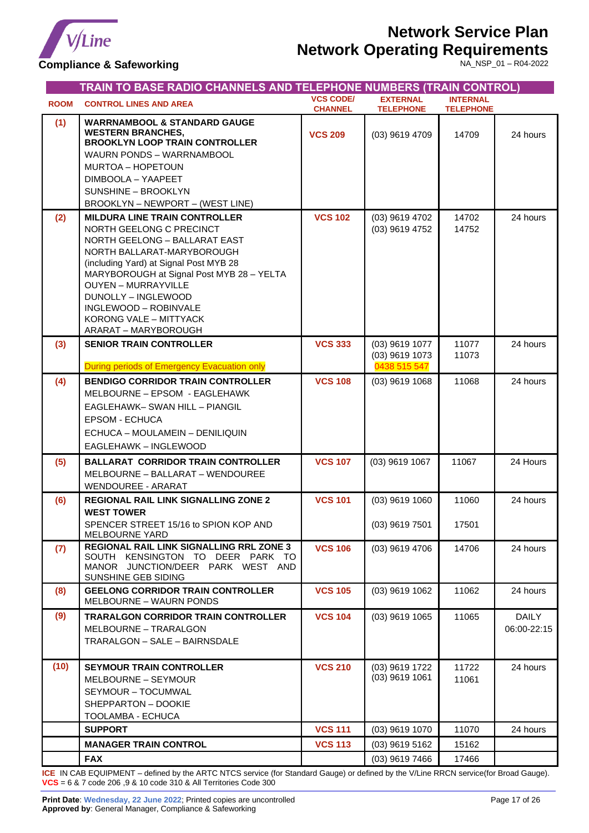

# **Network Service Plan**

# **Network Operating Requirements**

**Compliance & Safeworking**

NA\_NSP\_01 – R04-2022

<span id="page-16-0"></span>

|             | TRAIN TO BASE RADIO CHANNELS AND TELEPHONE NUMBERS (TRAIN CONTROL)                                                                                                                                                                                                                                                                                     |                                    |                                                  |                                     |                      |
|-------------|--------------------------------------------------------------------------------------------------------------------------------------------------------------------------------------------------------------------------------------------------------------------------------------------------------------------------------------------------------|------------------------------------|--------------------------------------------------|-------------------------------------|----------------------|
| <b>ROOM</b> | <b>CONTROL LINES AND AREA</b>                                                                                                                                                                                                                                                                                                                          | <b>VCS CODE/</b><br><b>CHANNEL</b> | <b>EXTERNAL</b><br><b>TELEPHONE</b>              | <b>INTERNAL</b><br><b>TELEPHONE</b> |                      |
| (1)         | <b>WARRNAMBOOL &amp; STANDARD GAUGE</b><br><b>WESTERN BRANCHES,</b><br><b>BROOKLYN LOOP TRAIN CONTROLLER</b><br>WAURN PONDS - WARRNAMBOOL<br>MURTOA - HOPETOUN<br>DIMBOOLA - YAAPEET<br>SUNSHINE - BROOKLYN<br>BROOKLYN - NEWPORT - (WEST LINE)                                                                                                        | <b>VCS 209</b>                     | (03) 9619 4709                                   | 14709                               | 24 hours             |
| (2)         | <b>MILDURA LINE TRAIN CONTROLLER</b><br>NORTH GEELONG C PRECINCT<br>NORTH GEELONG - BALLARAT EAST<br>NORTH BALLARAT-MARYBOROUGH<br>(including Yard) at Signal Post MYB 28<br>MARYBOROUGH at Signal Post MYB 28 - YELTA<br><b>OUYEN - MURRAYVILLE</b><br>DUNOLLY - INGLEWOOD<br>INGLEWOOD - ROBINVALE<br>KORONG VALE - MITTYACK<br>ARARAT - MARYBOROUGH | <b>VCS 102</b>                     | (03) 9619 4702<br>(03) 9619 4752                 | 14702<br>14752                      | 24 hours             |
| (3)         | <b>SENIOR TRAIN CONTROLLER</b><br>During periods of Emergency Evacuation only                                                                                                                                                                                                                                                                          | <b>VCS 333</b>                     | (03) 9619 1077<br>(03) 9619 1073<br>0438 515 547 | 11077<br>11073                      | 24 hours             |
| (4)         | <b>BENDIGO CORRIDOR TRAIN CONTROLLER</b><br>MELBOURNE - EPSOM - EAGLEHAWK<br>EAGLEHAWK- SWAN HILL - PIANGIL<br><b>EPSOM - ECHUCA</b><br>ECHUCA - MOULAMEIN - DENILIQUIN<br>EAGLEHAWK - INGLEWOOD                                                                                                                                                       | <b>VCS 108</b>                     | (03) 9619 1068                                   | 11068                               | 24 hours             |
| (5)         | <b>BALLARAT CORRIDOR TRAIN CONTROLLER</b><br>MELBOURNE - BALLARAT - WENDOUREE<br><b>WENDOUREE - ARARAT</b>                                                                                                                                                                                                                                             | <b>VCS 107</b>                     | (03) 9619 1067                                   | 11067                               | 24 Hours             |
| (6)         | <b>REGIONAL RAIL LINK SIGNALLING ZONE 2</b><br><b>WEST TOWER</b><br>SPENCER STREET 15/16 to SPION KOP AND<br>MELBOURNE YARD                                                                                                                                                                                                                            | <b>VCS 101</b>                     | $(03)$ 9619 1060<br>$(03)$ 9619 7501             | 11060<br>17501                      | 24 hours             |
| (7)         | REGIONAL RAIL LINK SIGNALLING RRL ZONE 3<br>SOUTH KENSINGTON TO DEER PARK TO<br>MANOR JUNCTION/DEER PARK WEST AND<br>SUNSHINE GEB SIDING                                                                                                                                                                                                               | <b>VCS 106</b>                     | (03) 9619 4706                                   | 14706                               | 24 hours             |
| (8)         | <b>GEELONG CORRIDOR TRAIN CONTROLLER</b><br><b>MELBOURNE - WAURN PONDS</b>                                                                                                                                                                                                                                                                             | <b>VCS 105</b>                     | (03) 9619 1062                                   | 11062                               | 24 hours             |
| (9)         | <b>TRARALGON CORRIDOR TRAIN CONTROLLER</b><br>MELBOURNE - TRARALGON<br>TRARALGON - SALE - BAIRNSDALE                                                                                                                                                                                                                                                   | <b>VCS 104</b>                     | (03) 9619 1065                                   | 11065                               | DAILY<br>06:00-22:15 |
| (10)        | <b>SEYMOUR TRAIN CONTROLLER</b><br>MELBOURNE - SEYMOUR<br>SEYMOUR - TOCUMWAL<br>SHEPPARTON - DOOKIE<br>TOOLAMBA - ECHUCA                                                                                                                                                                                                                               | <b>VCS 210</b>                     | (03) 9619 1722<br>$(03)$ 9619 1061               | 11722<br>11061                      | 24 hours             |
|             | <b>SUPPORT</b>                                                                                                                                                                                                                                                                                                                                         | <b>VCS 111</b>                     | (03) 9619 1070                                   | 11070                               | 24 hours             |
|             | <b>MANAGER TRAIN CONTROL</b>                                                                                                                                                                                                                                                                                                                           | <b>VCS 113</b>                     | (03) 9619 5162                                   | 15162                               |                      |
|             | <b>FAX</b>                                                                                                                                                                                                                                                                                                                                             |                                    | (03) 9619 7466                                   | 17466                               |                      |

**ICE** IN CAB EQUIPMENT – defined by the ARTC NTCS service (for Standard Gauge) or defined by the V/Line RRCN service(for Broad Gauge). **VCS** = 6 & 7 code 206 ,9 & 10 code 310 & All Territories Code 300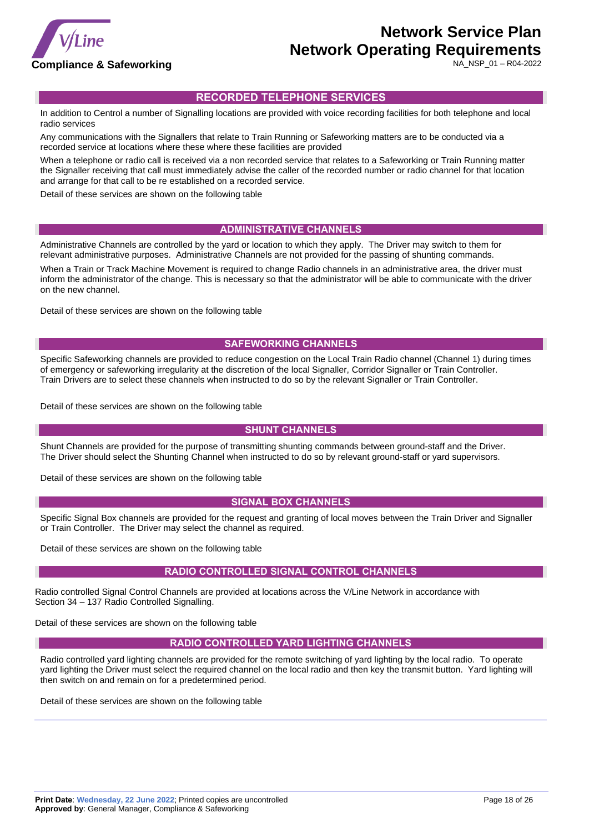

NA\_NSP\_01 – R04-2022

### <span id="page-17-0"></span>**RECORDED TELEPHONE SERVICES**

In addition to Centrol a number of Signalling locations are provided with voice recording facilities for both telephone and local radio services

Any communications with the Signallers that relate to Train Running or Safeworking matters are to be conducted via a recorded service at locations where these where these facilities are provided

When a telephone or radio call is received via a non recorded service that relates to a Safeworking or Train Running matter the Signaller receiving that call must immediately advise the caller of the recorded number or radio channel for that location and arrange for that call to be re established on a recorded service.

Detail of these services are shown on the following table

### **ADMINISTRATIVE CHANNELS**

Administrative Channels are controlled by the yard or location to which they apply. The Driver may switch to them for relevant administrative purposes. Administrative Channels are not provided for the passing of shunting commands.

When a Train or Track Machine Movement is required to change Radio channels in an administrative area, the driver must inform the administrator of the change. This is necessary so that the administrator will be able to communicate with the driver on the new channel.

Detail of these services are shown on the following table

#### **SAFEWORKING CHANNELS**

Specific Safeworking channels are provided to reduce congestion on the Local Train Radio channel (Channel 1) during times of emergency or safeworking irregularity at the discretion of the local Signaller, Corridor Signaller or Train Controller. Train Drivers are to select these channels when instructed to do so by the relevant Signaller or Train Controller.

Detail of these services are shown on the following table

### **SHUNT CHANNELS**

Shunt Channels are provided for the purpose of transmitting shunting commands between ground-staff and the Driver. The Driver should select the Shunting Channel when instructed to do so by relevant ground-staff or yard supervisors.

Detail of these services are shown on the following table

#### **SIGNAL BOX CHANNELS**

Specific Signal Box channels are provided for the request and granting of local moves between the Train Driver and Signaller or Train Controller. The Driver may select the channel as required.

Detail of these services are shown on the following table

#### **RADIO CONTROLLED SIGNAL CONTROL CHANNELS**

Radio controlled Signal Control Channels are provided at locations across the V/Line Network in accordance with Section 34 – 137 Radio Controlled Signalling.

Detail of these services are shown on the following table

#### **RADIO CONTROLLED YARD LIGHTING CHANNELS**

Radio controlled yard lighting channels are provided for the remote switching of yard lighting by the local radio. To operate yard lighting the Driver must select the required channel on the local radio and then key the transmit button. Yard lighting will then switch on and remain on for a predetermined period.

Detail of these services are shown on the following table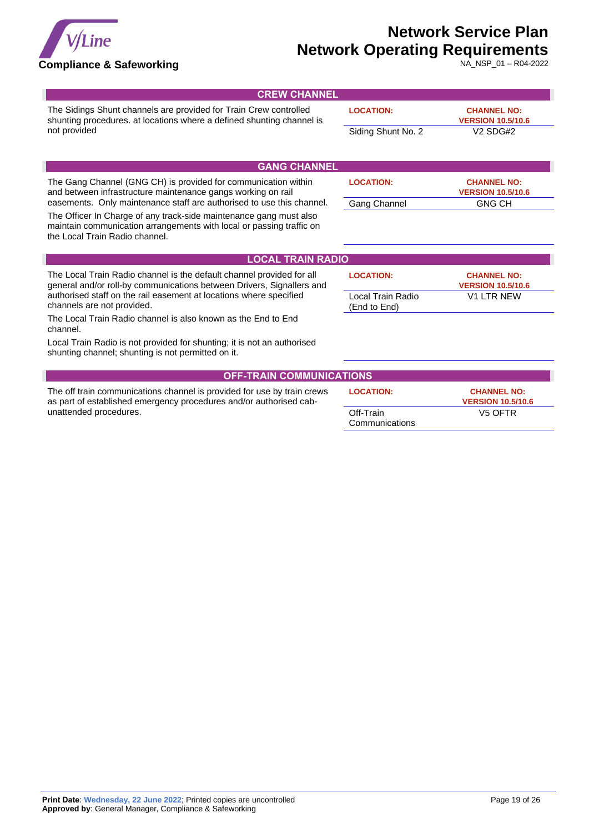

NA\_NSP\_01 – R04-2022

| <b>CREW CHANNEL</b>                                                                                                                                                          |                                   |                                                |
|------------------------------------------------------------------------------------------------------------------------------------------------------------------------------|-----------------------------------|------------------------------------------------|
| The Sidings Shunt channels are provided for Train Crew controlled<br>shunting procedures. at locations where a defined shunting channel is                                   | <b>LOCATION:</b>                  | <b>CHANNEL NO:</b><br><b>VERSION 10.5/10.6</b> |
| not provided                                                                                                                                                                 | Siding Shunt No. 2                | V <sub>2</sub> SD <sub>G</sub> # <sub>2</sub>  |
|                                                                                                                                                                              |                                   |                                                |
| <b>GANG CHANNEL</b>                                                                                                                                                          |                                   |                                                |
| The Gang Channel (GNG CH) is provided for communication within<br>and between infrastructure maintenance gangs working on rail                                               | <b>LOCATION:</b>                  | <b>CHANNEL NO:</b><br><b>VERSION 10.5/10.6</b> |
| easements. Only maintenance staff are authorised to use this channel.                                                                                                        | Gang Channel                      | <b>GNG CH</b>                                  |
| The Officer In Charge of any track-side maintenance gang must also<br>maintain communication arrangements with local or passing traffic on<br>the Local Train Radio channel. |                                   |                                                |
| <b>LOCAL TRAIN RADIO</b>                                                                                                                                                     |                                   |                                                |
| The Local Train Radio channel is the default channel provided for all<br>general and/or roll-by communications between Drivers, Signallers and                               | <b>LOCATION:</b>                  | <b>CHANNEL NO:</b><br><b>VERSION 10.5/10.6</b> |
| authorised staff on the rail easement at locations where specified<br>channels are not provided.                                                                             | Local Train Radio<br>(End to End) | <b>V1 LTR NEW</b>                              |
| The Local Train Radio channel is also known as the End to End<br>channel.                                                                                                    |                                   |                                                |
| Local Train Radio is not provided for shunting; it is not an authorised<br>shunting channel; shunting is not permitted on it.                                                |                                   |                                                |
| <b>OFF-TRAIN COMMUNICATIONS</b>                                                                                                                                              |                                   |                                                |
| The off train communications channel is provided for use by train crews<br>as part of established emergency procedures and/or authorised cab-                                | <b>LOCATION:</b>                  | <b>CHANNEL NO:</b><br><b>VERSION 10.5/10.6</b> |
| unattended procedures.                                                                                                                                                       | Off-Train                         | V <sub>5</sub> OFTR                            |

**Communications**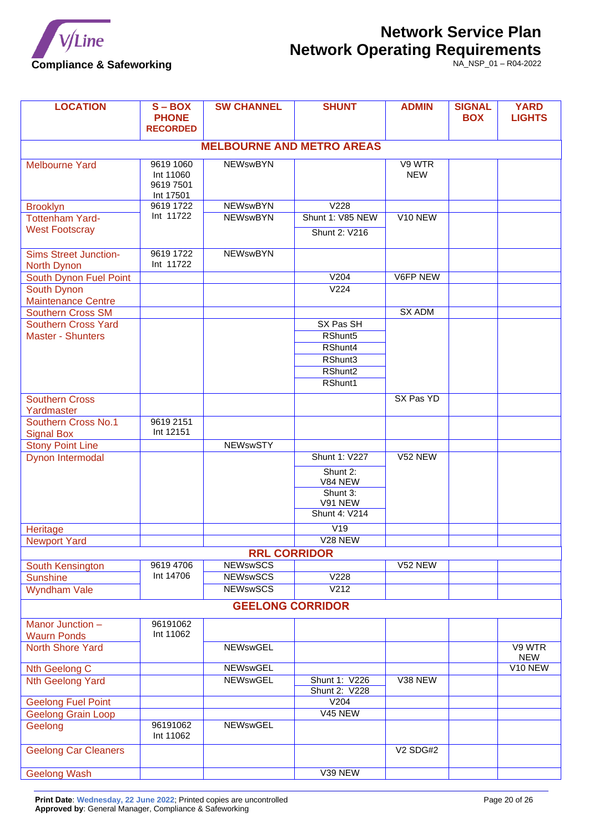

| <b>LOCATION</b>                                 | $\overline{S}$ – BOX<br><b>PHONE</b><br><b>RECORDED</b> | <b>SW CHANNEL</b>   | <b>SHUNT</b>                             | <b>ADMIN</b>         | <b>SIGNAL</b><br><b>BOX</b> | <b>YARD</b><br><b>LIGHTS</b> |  |
|-------------------------------------------------|---------------------------------------------------------|---------------------|------------------------------------------|----------------------|-----------------------------|------------------------------|--|
|                                                 |                                                         |                     | <b>MELBOURNE AND METRO AREAS</b>         |                      |                             |                              |  |
| <b>Melbourne Yard</b>                           | 9619 1060<br>Int 11060<br>9619 7501<br>Int 17501        | <b>NEWswBYN</b>     |                                          | V9 WTR<br><b>NEW</b> |                             |                              |  |
| <b>Brooklyn</b>                                 | 9619 1722                                               | <b>NEWswBYN</b>     | V <sub>228</sub>                         |                      |                             |                              |  |
| <b>Tottenham Yard-</b><br><b>West Footscray</b> | Int 11722                                               | <b>NEWswBYN</b>     | Shunt 1: V85 NEW<br><b>Shunt 2: V216</b> | V <sub>10</sub> NEW  |                             |                              |  |
| <b>Sims Street Junction-</b><br>North Dynon     | 9619 1722<br>Int 11722                                  | <b>NEWswBYN</b>     |                                          |                      |                             |                              |  |
| South Dynon Fuel Point                          |                                                         |                     | V204                                     | V6FP NEW             |                             |                              |  |
| South Dynon                                     |                                                         |                     | V <sub>224</sub>                         |                      |                             |                              |  |
| <b>Maintenance Centre</b>                       |                                                         |                     |                                          |                      |                             |                              |  |
| <b>Southern Cross SM</b>                        |                                                         |                     |                                          | <b>SX ADM</b>        |                             |                              |  |
| <b>Southern Cross Yard</b>                      |                                                         |                     | SX Pas SH                                |                      |                             |                              |  |
| <b>Master - Shunters</b>                        |                                                         |                     | RShunt <sub>5</sub><br>RShunt4           |                      |                             |                              |  |
|                                                 |                                                         |                     | RShunt3                                  |                      |                             |                              |  |
|                                                 |                                                         |                     | RShunt2                                  |                      |                             |                              |  |
|                                                 |                                                         |                     | RShunt1                                  |                      |                             |                              |  |
|                                                 |                                                         |                     |                                          |                      |                             |                              |  |
| <b>Southern Cross</b><br>Yardmaster             |                                                         |                     |                                          | SX Pas YD            |                             |                              |  |
| Southern Cross No.1<br><b>Signal Box</b>        | 9619 2151<br>Int 12151                                  |                     |                                          |                      |                             |                              |  |
| <b>Stony Point Line</b>                         |                                                         | <b>NEWswSTY</b>     |                                          |                      |                             |                              |  |
| Dynon Intermodal                                |                                                         |                     | <b>Shunt 1: V227</b><br>Shunt 2:         | V52 NEW              |                             |                              |  |
|                                                 |                                                         |                     | V84 NEW                                  |                      |                             |                              |  |
|                                                 |                                                         |                     | Shunt 3:<br>V91 NEW<br>Shunt 4: V214     |                      |                             |                              |  |
| Heritage                                        |                                                         |                     | V19                                      |                      |                             |                              |  |
| <b>Newport Yard</b>                             |                                                         |                     | V <sub>28</sub> NEW                      |                      |                             |                              |  |
|                                                 |                                                         | <b>RRL CORRIDOR</b> |                                          |                      |                             |                              |  |
| South Kensington                                | 9619 4706                                               | <b>NEWswSCS</b>     |                                          | V52 NEW              |                             |                              |  |
| Sunshine                                        | Int 14706                                               | <b>NEWswSCS</b>     | V <sub>228</sub>                         |                      |                             |                              |  |
| <b>Wyndham Vale</b>                             |                                                         | <b>NEWswSCS</b>     | V <sub>212</sub>                         |                      |                             |                              |  |
|                                                 | <b>GEELONG CORRIDOR</b>                                 |                     |                                          |                      |                             |                              |  |
| Manor Junction -<br><b>Waurn Ponds</b>          | 96191062<br>Int 11062                                   |                     |                                          |                      |                             |                              |  |
| <b>North Shore Yard</b>                         |                                                         | <b>NEWswGEL</b>     |                                          |                      |                             | V9 WTR<br><b>NEW</b>         |  |
| Nth Geelong C                                   |                                                         | <b>NEWswGEL</b>     |                                          |                      |                             | V10 NEW                      |  |
| <b>Nth Geelong Yard</b>                         |                                                         | <b>NEWswGEL</b>     | Shunt 1: V226<br><b>Shunt 2: V228</b>    | V38 NEW              |                             |                              |  |
| <b>Geelong Fuel Point</b>                       |                                                         |                     | V204                                     |                      |                             |                              |  |
| <b>Geelong Grain Loop</b>                       |                                                         |                     | V45 NEW                                  |                      |                             |                              |  |
| Geelong                                         | 96191062<br>Int 11062                                   | <b>NEWswGEL</b>     |                                          |                      |                             |                              |  |
| <b>Geelong Car Cleaners</b>                     |                                                         |                     |                                          | <b>V2 SDG#2</b>      |                             |                              |  |
| <b>Geelong Wash</b>                             |                                                         |                     | V39 NEW                                  |                      |                             |                              |  |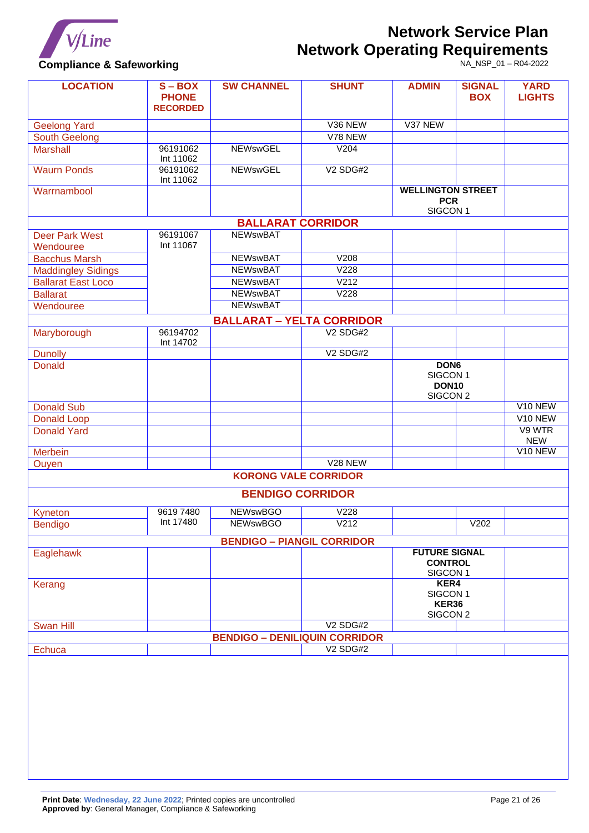

# **Compliance & Safeworking**

| <b>LOCATION</b>           | $S - BOX$<br><b>PHONE</b><br><b>RECORDED</b> | <b>SW CHANNEL</b>                    | <b>SHUNT</b>         | <b>ADMIN</b>                                                  | <b>SIGNAL</b><br><b>BOX</b> | <b>YARD</b><br><b>LIGHTS</b> |
|---------------------------|----------------------------------------------|--------------------------------------|----------------------|---------------------------------------------------------------|-----------------------------|------------------------------|
| <b>Geelong Yard</b>       |                                              |                                      | V36 NEW              | V37 NEW                                                       |                             |                              |
| <b>South Geelong</b>      |                                              |                                      | V78 NEW              |                                                               |                             |                              |
| <b>Marshall</b>           | 96191062<br>Int 11062                        | <b>NEWswGEL</b>                      | V204                 |                                                               |                             |                              |
| <b>Waurn Ponds</b>        | 96191062<br>Int 11062                        | <b>NEWswGEL</b>                      | V <sub>2</sub> SDG#2 |                                                               |                             |                              |
| Warrnambool               |                                              |                                      |                      | <b>WELLINGTON STREET</b><br><b>PCR</b><br>SIGCON <sub>1</sub> |                             |                              |
|                           |                                              | <b>BALLARAT CORRIDOR</b>             |                      |                                                               |                             |                              |
| <b>Deer Park West</b>     | 96191067                                     | <b>NEWswBAT</b>                      |                      |                                                               |                             |                              |
| Wendouree                 | Int 11067                                    |                                      |                      |                                                               |                             |                              |
| <b>Bacchus Marsh</b>      |                                              | <b>NEWswBAT</b>                      | V208                 |                                                               |                             |                              |
| Maddingley Sidings        |                                              | <b>NEWswBAT</b>                      | V <sub>228</sub>     |                                                               |                             |                              |
| <b>Ballarat East Loco</b> |                                              | <b>NEWswBAT</b>                      | V <sub>212</sub>     |                                                               |                             |                              |
| <b>Ballarat</b>           |                                              | <b>NEWswBAT</b>                      | V <sub>228</sub>     |                                                               |                             |                              |
| Wendouree                 |                                              | <b>NEWSWBAT</b>                      |                      |                                                               |                             |                              |
|                           |                                              | <b>BALLARAT - YELTA CORRIDOR</b>     |                      |                                                               |                             |                              |
| Maryborough               | 96194702                                     |                                      | <b>V2 SDG#2</b>      |                                                               |                             |                              |
|                           | Int 14702                                    |                                      |                      |                                                               |                             |                              |
| <b>Dunolly</b>            |                                              |                                      | <b>V2 SDG#2</b>      |                                                               |                             |                              |
| <b>Donald</b>             |                                              |                                      |                      | DON <sub>6</sub>                                              |                             |                              |
|                           |                                              |                                      |                      | SIGCON <sub>1</sub>                                           |                             |                              |
|                           |                                              |                                      |                      | <b>DON10</b>                                                  |                             |                              |
|                           |                                              |                                      |                      | SIGCON <sub>2</sub>                                           |                             |                              |
| <b>Donald Sub</b>         |                                              |                                      |                      |                                                               |                             | V <sub>10</sub> NEW          |
| <b>Donald Loop</b>        |                                              |                                      |                      |                                                               |                             | V <sub>10</sub> NEW          |
| <b>Donald Yard</b>        |                                              |                                      |                      |                                                               |                             | V9 WTR<br><b>NEW</b>         |
| <b>Merbein</b>            |                                              |                                      |                      |                                                               |                             | V10 NEW                      |
| Ouyen                     |                                              |                                      | V <sub>28</sub> NEW  |                                                               |                             |                              |
|                           |                                              | <b>KORONG VALE CORRIDOR</b>          |                      |                                                               |                             |                              |
|                           |                                              | <b>BENDIGO CORRIDOR</b>              |                      |                                                               |                             |                              |
| Kyneton                   | 96197480                                     | <b>NEWswBGO</b>                      | V228                 |                                                               |                             |                              |
| <b>Bendigo</b>            | Int 17480                                    | <b>NEWswBGO</b>                      | V212                 |                                                               | V202                        |                              |
|                           |                                              | <b>BENDIGO - PIANGIL CORRIDOR</b>    |                      |                                                               |                             |                              |
| Eaglehawk                 |                                              |                                      |                      | <b>FUTURE SIGNAL</b>                                          |                             |                              |
|                           |                                              |                                      |                      | <b>CONTROL</b>                                                |                             |                              |
|                           |                                              |                                      |                      | SIGCON <sub>1</sub>                                           |                             |                              |
| Kerang                    |                                              |                                      |                      | KER4                                                          |                             |                              |
|                           |                                              |                                      |                      | SIGCON <sub>1</sub>                                           |                             |                              |
|                           |                                              |                                      |                      | KER36                                                         |                             |                              |
|                           |                                              |                                      | <b>V2 SDG#2</b>      | SIGCON <sub>2</sub>                                           |                             |                              |
| <b>Swan Hill</b>          |                                              |                                      |                      |                                                               |                             |                              |
|                           |                                              | <b>BENDIGO - DENILIQUIN CORRIDOR</b> | <b>V2 SDG#2</b>      |                                                               |                             |                              |
| <b>Echuca</b>             |                                              |                                      |                      |                                                               |                             |                              |
|                           |                                              |                                      |                      |                                                               |                             |                              |
|                           |                                              |                                      |                      |                                                               |                             |                              |
|                           |                                              |                                      |                      |                                                               |                             |                              |
|                           |                                              |                                      |                      |                                                               |                             |                              |
|                           |                                              |                                      |                      |                                                               |                             |                              |
|                           |                                              |                                      |                      |                                                               |                             |                              |
|                           |                                              |                                      |                      |                                                               |                             |                              |
|                           |                                              |                                      |                      |                                                               |                             |                              |
|                           |                                              |                                      |                      |                                                               |                             |                              |
|                           |                                              |                                      |                      |                                                               |                             |                              |
|                           |                                              |                                      |                      |                                                               |                             |                              |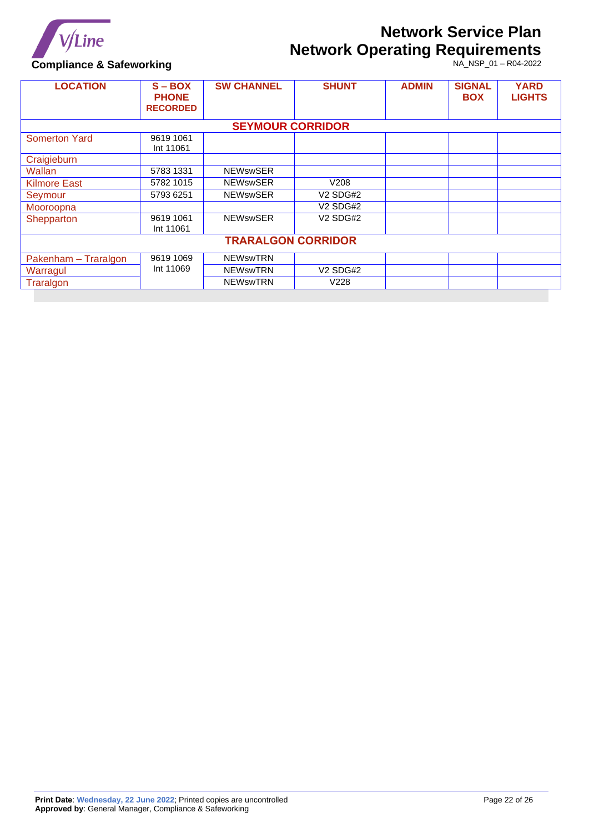

**Compliance & Safeworking**

| <b>LOCATION</b>           | $S - BOX$<br><b>PHONE</b><br><b>RECORDED</b> | <b>SW CHANNEL</b>       | <b>SHUNT</b>         | <b>ADMIN</b> | <b>SIGNAL</b><br><b>BOX</b> | <b>YARD</b><br><b>LIGHTS</b> |
|---------------------------|----------------------------------------------|-------------------------|----------------------|--------------|-----------------------------|------------------------------|
|                           |                                              | <b>SEYMOUR CORRIDOR</b> |                      |              |                             |                              |
| <b>Somerton Yard</b>      | 9619 1061<br>Int 11061                       |                         |                      |              |                             |                              |
| Craigieburn               |                                              |                         |                      |              |                             |                              |
| Wallan                    | 5783 1331                                    | <b>NEWswSER</b>         |                      |              |                             |                              |
| <b>Kilmore East</b>       | 5782 1015                                    | <b>NEWswSER</b>         | V208                 |              |                             |                              |
| Seymour                   | 5793 6251                                    | <b>NEWswSER</b>         | V <sub>2</sub> SDG#2 |              |                             |                              |
| Mooroopna                 |                                              |                         | V <sub>2</sub> SDG#2 |              |                             |                              |
| Shepparton                | 9619 1061<br>Int 11061                       | <b>NEWswSER</b>         | V <sub>2</sub> SDG#2 |              |                             |                              |
| <b>TRARALGON CORRIDOR</b> |                                              |                         |                      |              |                             |                              |
| Pakenham - Traralgon      | 9619 1069                                    | <b>NEWswTRN</b>         |                      |              |                             |                              |
| Warragul                  | Int 11069                                    | <b>NEWswTRN</b>         | V <sub>2</sub> SDG#2 |              |                             |                              |
| Traralgon                 |                                              | <b>NEWswTRN</b>         | V <sub>228</sub>     |              |                             |                              |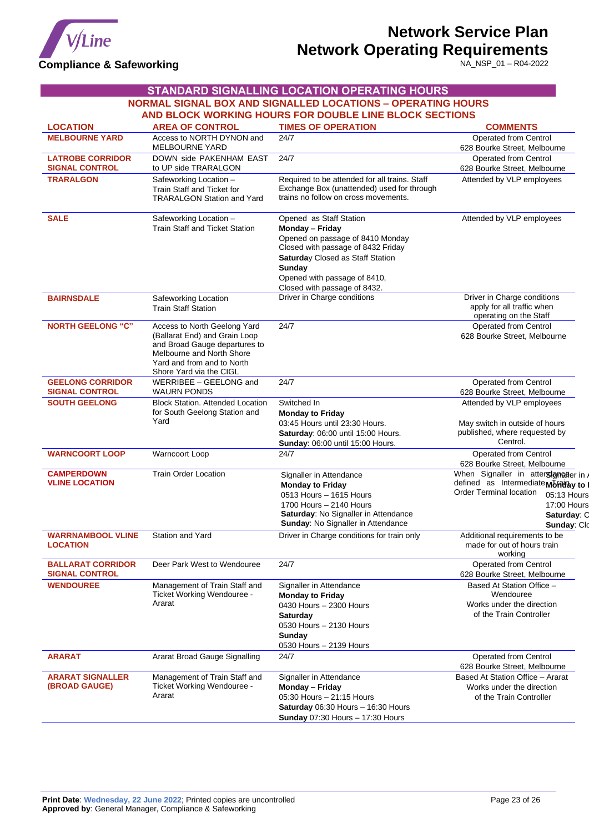

<span id="page-22-0"></span>

|                                                   |                                                                                                                                                                                      | <b>STANDARD SIGNALLING LOCATION OPERATING HOURS</b>                                                                                                                                                                                |                                                                                                                                                                 |
|---------------------------------------------------|--------------------------------------------------------------------------------------------------------------------------------------------------------------------------------------|------------------------------------------------------------------------------------------------------------------------------------------------------------------------------------------------------------------------------------|-----------------------------------------------------------------------------------------------------------------------------------------------------------------|
|                                                   |                                                                                                                                                                                      | <b>NORMAL SIGNAL BOX AND SIGNALLED LOCATIONS - OPERATING HOURS</b>                                                                                                                                                                 |                                                                                                                                                                 |
|                                                   |                                                                                                                                                                                      | AND BLOCK WORKING HOURS FOR DOUBLE LINE BLOCK SECTIONS                                                                                                                                                                             |                                                                                                                                                                 |
| <b>LOCATION</b>                                   | <b>AREA OF CONTROL</b>                                                                                                                                                               | <b>TIMES OF OPERATION</b>                                                                                                                                                                                                          | <b>COMMENTS</b>                                                                                                                                                 |
| <b>MELBOURNE YARD</b>                             | Access to NORTH DYNON and<br><b>MELBOURNE YARD</b>                                                                                                                                   | 24/7                                                                                                                                                                                                                               | Operated from Centrol<br>628 Bourke Street, Melbourne                                                                                                           |
| <b>LATROBE CORRIDOR</b><br><b>SIGNAL CONTROL</b>  | DOWN side PAKENHAM EAST<br>to UP side TRARALGON                                                                                                                                      | 24/7                                                                                                                                                                                                                               | Operated from Centrol<br>628 Bourke Street, Melbourne                                                                                                           |
| <b>TRARALGON</b>                                  | Safeworking Location -<br>Train Staff and Ticket for<br><b>TRARALGON Station and Yard</b>                                                                                            | Required to be attended for all trains. Staff<br>Exchange Box (unattended) used for through<br>trains no follow on cross movements.                                                                                                | Attended by VLP employees                                                                                                                                       |
| <b>SALE</b>                                       | Safeworking Location -<br><b>Train Staff and Ticket Station</b>                                                                                                                      | Opened as Staff Station<br>Monday - Friday<br>Opened on passage of 8410 Monday<br>Closed with passage of 8432 Friday<br>Saturday Closed as Staff Station<br>Sunday<br>Opened with passage of 8410,<br>Closed with passage of 8432. | Attended by VLP employees                                                                                                                                       |
| <b>BAIRNSDALE</b>                                 | Safeworking Location<br><b>Train Staff Station</b>                                                                                                                                   | Driver in Charge conditions                                                                                                                                                                                                        | Driver in Charge conditions<br>apply for all traffic when<br>operating on the Staff                                                                             |
| <b>NORTH GEELONG "C"</b>                          | Access to North Geelong Yard<br>(Ballarat End) and Grain Loop<br>and Broad Gauge departures to<br>Melbourne and North Shore<br>Yard and from and to North<br>Shore Yard via the CIGL | 24/7                                                                                                                                                                                                                               | Operated from Centrol<br>628 Bourke Street, Melbourne                                                                                                           |
| <b>GEELONG CORRIDOR</b><br><b>SIGNAL CONTROL</b>  | WERRIBEE - GEELONG and<br><b>WAURN PONDS</b>                                                                                                                                         | 24/7                                                                                                                                                                                                                               | Operated from Centrol<br>628 Bourke Street, Melbourne                                                                                                           |
| <b>SOUTH GEELONG</b>                              | <b>Block Station. Attended Location</b><br>for South Geelong Station and<br>Yard                                                                                                     | Switched In<br><b>Monday to Friday</b><br>03:45 Hours until 23:30 Hours.<br>Saturday: 06:00 until 15:00 Hours.<br>Sunday: 06:00 until 15:00 Hours.                                                                                 | Attended by VLP employees<br>May switch in outside of hours<br>published, where requested by<br>Centrol.                                                        |
| <b>WARNCOORT LOOP</b>                             | Warncoort Loop                                                                                                                                                                       | 24/7                                                                                                                                                                                                                               | Operated from Centrol<br>628 Bourke Street, Melbourne                                                                                                           |
| <b>CAMPERDOWN</b><br><b>VLINE LOCATION</b>        | <b>Train Order Location</b>                                                                                                                                                          | Signaller in Attendance<br><b>Monday to Friday</b><br>0513 Hours - 1615 Hours<br>1700 Hours - 2140 Hours<br>Saturday: No Signaller in Attendance<br>Sunday: No Signaller in Attendance                                             | When Signaller in atterstanatier in<br>defined as Intermediate Monday to<br>Order Terminal location<br>05:13 Hours<br>17:00 Hours<br>Saturday: C<br>Sunday: Clo |
| <b>WARRNAMBOOL VLINE</b><br><b>LOCATION</b>       | <b>Station and Yard</b>                                                                                                                                                              | Driver in Charge conditions for train only                                                                                                                                                                                         | Additional requirements to be<br>made for out of hours train<br>working                                                                                         |
| <b>BALLARAT CORRIDOR</b><br><b>SIGNAL CONTROL</b> | Deer Park West to Wendouree                                                                                                                                                          | 24/7                                                                                                                                                                                                                               | Operated from Centrol<br>628 Bourke Street, Melbourne                                                                                                           |
| <b>WENDOUREE</b>                                  | Management of Train Staff and<br>Ticket Working Wendouree -<br>Ararat                                                                                                                | Signaller in Attendance<br><b>Monday to Friday</b><br>0430 Hours - 2300 Hours<br>Saturday<br>0530 Hours - 2130 Hours<br>Sunday<br>0530 Hours - 2139 Hours                                                                          | Based At Station Office -<br>Wendouree<br>Works under the direction<br>of the Train Controller                                                                  |
| <b>ARARAT</b>                                     | Ararat Broad Gauge Signalling                                                                                                                                                        | 24/7                                                                                                                                                                                                                               | Operated from Centrol<br>628 Bourke Street, Melbourne                                                                                                           |
| <b>ARARAT SIGNALLER</b><br>(BROAD GAUGE)          | Management of Train Staff and<br>Ticket Working Wendouree -<br>Ararat                                                                                                                | Signaller in Attendance<br>Monday - Friday<br>05:30 Hours - 21:15 Hours<br>Saturday 06:30 Hours - 16:30 Hours<br><b>Sunday</b> 07:30 Hours - 17:30 Hours                                                                           | Based At Station Office - Ararat<br>Works under the direction<br>of the Train Controller                                                                        |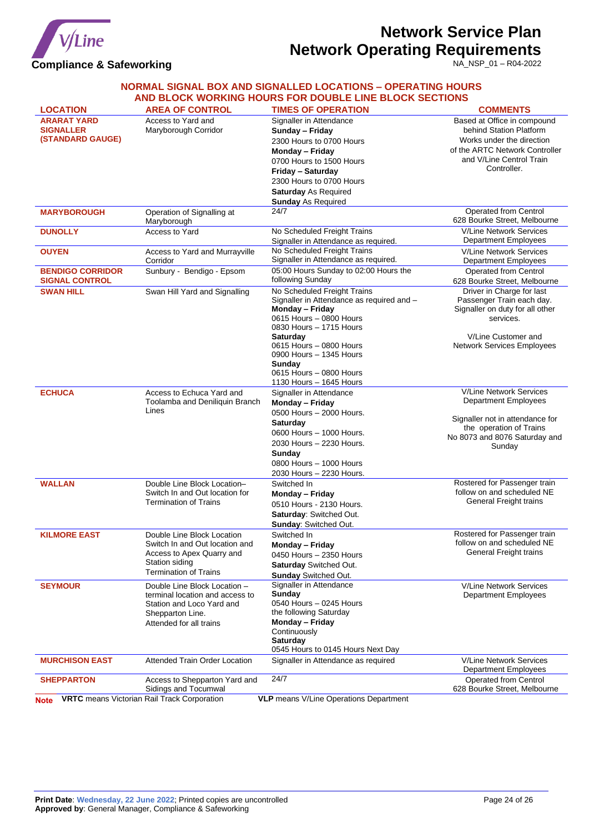

NA\_NSP\_01 – R04-2022

### **NORMAL SIGNAL BOX AND SIGNALLED LOCATIONS – OPERATING HOURS AND BLOCK WORKING HOURS FOR DOUBLE LINE BLOCK SECTIONS**

| <b>LOCATION</b>                                            | <b>AREA OF CONTROL</b>                                                                                                                      | <b>TIMES OF OPERATION</b>                                                                                                                                                                                                                                                                  | <b>COMMENTS</b>                                                                                                                                                    |
|------------------------------------------------------------|---------------------------------------------------------------------------------------------------------------------------------------------|--------------------------------------------------------------------------------------------------------------------------------------------------------------------------------------------------------------------------------------------------------------------------------------------|--------------------------------------------------------------------------------------------------------------------------------------------------------------------|
| <b>ARARAT YARD</b><br><b>SIGNALLER</b><br>(STANDARD GAUGE) | Access to Yard and<br>Maryborough Corridor                                                                                                  | Signaller in Attendance<br>Sunday - Friday<br>2300 Hours to 0700 Hours<br>Monday - Friday<br>0700 Hours to 1500 Hours<br>Friday - Saturday<br>2300 Hours to 0700 Hours<br><b>Saturday As Required</b><br><b>Sunday As Required</b>                                                         | Based at Office in compound<br>behind Station Platform<br>Works under the direction<br>of the ARTC Network Controller<br>and V/Line Centrol Train<br>Controller.   |
| <b>MARYBOROUGH</b>                                         | Operation of Signalling at<br>Maryborough                                                                                                   | 24/7                                                                                                                                                                                                                                                                                       | Operated from Centrol<br>628 Bourke Street, Melbourne                                                                                                              |
| <b>DUNOLLY</b>                                             | Access to Yard                                                                                                                              | No Scheduled Freight Trains<br>Signaller in Attendance as required.                                                                                                                                                                                                                        | <b>V/Line Network Services</b><br><b>Department Employees</b>                                                                                                      |
| <b>OUYEN</b>                                               | Access to Yard and Murrayville<br>Corridor                                                                                                  | No Scheduled Freight Trains<br>Signaller in Attendance as required.                                                                                                                                                                                                                        | <b>V/Line Network Services</b><br>Department Employees                                                                                                             |
| <b>BENDIGO CORRIDOR</b><br><b>SIGNAL CONTROL</b>           | Sunbury - Bendigo - Epsom                                                                                                                   | 05:00 Hours Sunday to 02:00 Hours the<br>following Sunday                                                                                                                                                                                                                                  | Operated from Centrol<br>628 Bourke Street, Melbourne                                                                                                              |
| <b>SWAN HILL</b>                                           | Swan Hill Yard and Signalling                                                                                                               | No Scheduled Freight Trains<br>Signaller in Attendance as required and -<br>Monday - Friday<br>0615 Hours - 0800 Hours<br>0830 Hours - 1715 Hours<br><b>Saturday</b><br>0615 Hours - 0800 Hours<br>0900 Hours - 1345 Hours<br>Sunday<br>0615 Hours - 0800 Hours<br>1130 Hours - 1645 Hours | Driver in Charge for last<br>Passenger Train each day.<br>Signaller on duty for all other<br>services.<br>V/Line Customer and<br><b>Network Services Employees</b> |
| <b>ECHUCA</b>                                              | Access to Echuca Yard and<br>Toolamba and Deniliquin Branch<br>Lines                                                                        | Signaller in Attendance<br>Monday - Friday<br>0500 Hours - 2000 Hours.<br><b>Saturday</b><br>0600 Hours - 1000 Hours.<br>2030 Hours - 2230 Hours.<br>Sunday<br>0800 Hours - 1000 Hours<br>2030 Hours - 2230 Hours.                                                                         | <b>V/Line Network Services</b><br>Department Employees<br>Signaller not in attendance for<br>the operation of Trains<br>No 8073 and 8076 Saturday and<br>Sunday    |
| <b>WALLAN</b>                                              | Double Line Block Location-<br>Switch In and Out location for<br><b>Termination of Trains</b>                                               | Switched In<br>Monday - Friday<br>0510 Hours - 2130 Hours.<br>Saturday: Switched Out.<br>Sunday: Switched Out.                                                                                                                                                                             | Rostered for Passenger train<br>follow on and scheduled NE<br>General Freight trains                                                                               |
| <b>KILMORE EAST</b>                                        | Double Line Block Location<br>Switch In and Out location and<br>Access to Apex Quarry and<br>Station siding<br><b>Termination of Trains</b> | Switched In<br>Monday - Friday<br>0450 Hours - 2350 Hours<br><b>Saturday</b> Switched Out.<br><b>Sunday Switched Out.</b>                                                                                                                                                                  | Rostered for Passenger train<br>follow on and scheduled NE<br>General Freight trains                                                                               |
| <b>SEYMOUR</b>                                             | Double Line Block Location -<br>terminal location and access to<br>Station and Loco Yard and<br>Shepparton Line.<br>Attended for all trains | Signaller in Attendance<br><b>Sunday</b><br>0540 Hours - 0245 Hours<br>the following Saturday<br>Monday - Friday<br>Continuously<br><b>Saturday</b><br>0545 Hours to 0145 Hours Next Day                                                                                                   | <b>V/Line Network Services</b><br><b>Department Employees</b>                                                                                                      |
| <b>MURCHISON EAST</b>                                      | <b>Attended Train Order Location</b>                                                                                                        | Signaller in Attendance as required                                                                                                                                                                                                                                                        | <b>V/Line Network Services</b><br><b>Department Employees</b>                                                                                                      |
| <b>SHEPPARTON</b>                                          | Access to Shepparton Yard and<br>Sidings and Tocumwal<br><b>VRTC</b> means Victorian Rail Track Corporation                                 | 24/7<br><b>VLP</b> means V/Line Operations Department                                                                                                                                                                                                                                      | Operated from Centrol<br>628 Bourke Street, Melbourne                                                                                                              |
| <b>Note</b>                                                |                                                                                                                                             |                                                                                                                                                                                                                                                                                            |                                                                                                                                                                    |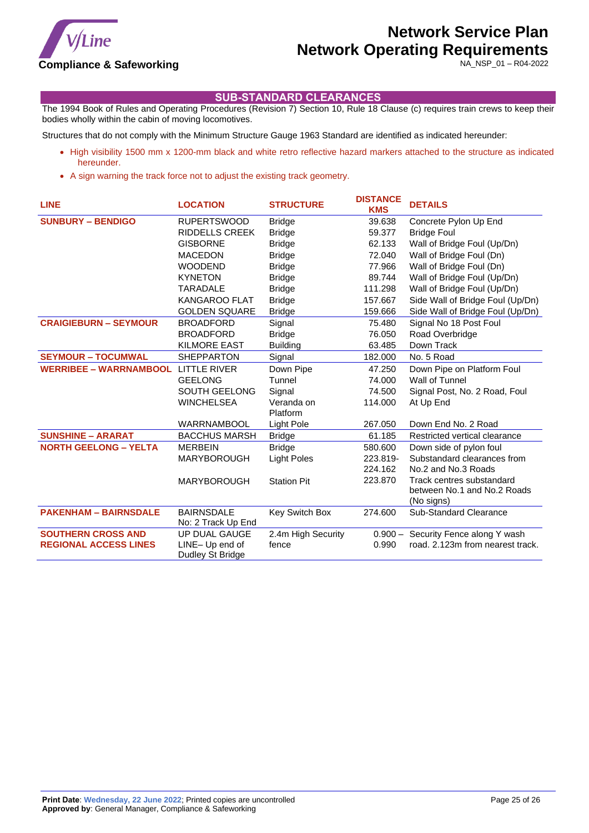

NA\_NSP\_01 – R04-2022

### **SUB-STANDARD CLEARANCES**

<span id="page-24-0"></span>The 1994 Book of Rules and Operating Procedures (Revision 7) Section 10, Rule 18 Clause (c) requires train crews to keep their bodies wholly within the cabin of moving locomotives.

Structures that do not comply with the Minimum Structure Gauge 1963 Standard are identified as indicated hereunder:

- High visibility 1500 mm x 1200-mm black and white retro reflective hazard markers attached to the structure as indicated hereunder.
- A sign warning the track force not to adjust the existing track geometry.

| <b>LINE</b>                   | <b>LOCATION</b>       | <b>STRUCTURE</b>   | <b>DISTANCE</b><br><b>KMS</b> | <b>DETAILS</b>                            |
|-------------------------------|-----------------------|--------------------|-------------------------------|-------------------------------------------|
| <b>SUNBURY - BENDIGO</b>      | <b>RUPERTSWOOD</b>    | <b>Bridge</b>      | 39.638                        | Concrete Pylon Up End                     |
|                               | <b>RIDDELLS CREEK</b> | <b>Bridge</b>      | 59.377                        | <b>Bridge Foul</b>                        |
|                               | <b>GISBORNE</b>       | <b>Bridge</b>      | 62.133                        | Wall of Bridge Foul (Up/Dn)               |
|                               | <b>MACEDON</b>        | <b>Bridge</b>      | 72.040                        | Wall of Bridge Foul (Dn)                  |
|                               | <b>WOODEND</b>        | <b>Bridge</b>      | 77.966                        | Wall of Bridge Foul (Dn)                  |
|                               | <b>KYNETON</b>        | <b>Bridge</b>      | 89.744                        | Wall of Bridge Foul (Up/Dn)               |
|                               | TARADALE              | <b>Bridge</b>      | 111.298                       | Wall of Bridge Foul (Up/Dn)               |
|                               | <b>KANGAROO FLAT</b>  | <b>Bridge</b>      | 157.667                       | Side Wall of Bridge Foul (Up/Dn)          |
|                               | <b>GOLDEN SQUARE</b>  | <b>Bridge</b>      | 159.666                       | Side Wall of Bridge Foul (Up/Dn)          |
| <b>CRAIGIEBURN - SEYMOUR</b>  | <b>BROADFORD</b>      | Signal             | 75.480                        | Signal No 18 Post Foul                    |
|                               | <b>BROADFORD</b>      | <b>Bridge</b>      | 76.050                        | Road Overbridge                           |
|                               | <b>KILMORE EAST</b>   | <b>Building</b>    | 63.485                        | Down Track                                |
| <b>SEYMOUR - TOCUMWAL</b>     | <b>SHEPPARTON</b>     | Signal             | 182.000                       | No. 5 Road                                |
| <b>WERRIBEE - WARRNAMBOOL</b> | <b>LITTLE RIVER</b>   | Down Pipe          | 47.250                        | Down Pipe on Platform Foul                |
|                               | <b>GEELONG</b>        | Tunnel             | 74.000                        | Wall of Tunnel                            |
|                               | <b>SOUTH GEELONG</b>  | Signal             | 74.500                        | Signal Post, No. 2 Road, Foul             |
|                               | <b>WINCHELSEA</b>     | Veranda on         | 114.000                       | At Up End                                 |
|                               |                       | Platform           |                               |                                           |
|                               | <b>WARRNAMBOOL</b>    | <b>Light Pole</b>  | 267.050                       | Down End No. 2 Road                       |
| <b>SUNSHINE - ARARAT</b>      | <b>BACCHUS MARSH</b>  | <b>Bridge</b>      | 61.185                        | Restricted vertical clearance             |
| <b>NORTH GEELONG - YELTA</b>  | <b>MERBEIN</b>        | <b>Bridge</b>      | 580.600                       | Down side of pylon foul                   |
|                               | <b>MARYBOROUGH</b>    | <b>Light Poles</b> | 223.819-                      | Substandard clearances from               |
|                               |                       |                    | 224.162                       | No.2 and No.3 Roads                       |
|                               | <b>MARYBOROUGH</b>    | <b>Station Pit</b> | 223.870                       | Track centres substandard                 |
|                               |                       |                    |                               | between No.1 and No.2 Roads<br>(No signs) |
| <b>PAKENHAM - BAIRNSDALE</b>  | <b>BAIRNSDALE</b>     | Key Switch Box     | 274.600                       | Sub-Standard Clearance                    |
|                               | No: 2 Track Up End    |                    |                               |                                           |
| <b>SOUTHERN CROSS AND</b>     | UP DUAL GAUGE         | 2.4m High Security | $0.900 -$                     | Security Fence along Y wash               |
| <b>REGIONAL ACCESS LINES</b>  | LINE-Up end of        | fence              | 0.990                         | road. 2.123m from nearest track.          |
|                               | Dudley St Bridge      |                    |                               |                                           |